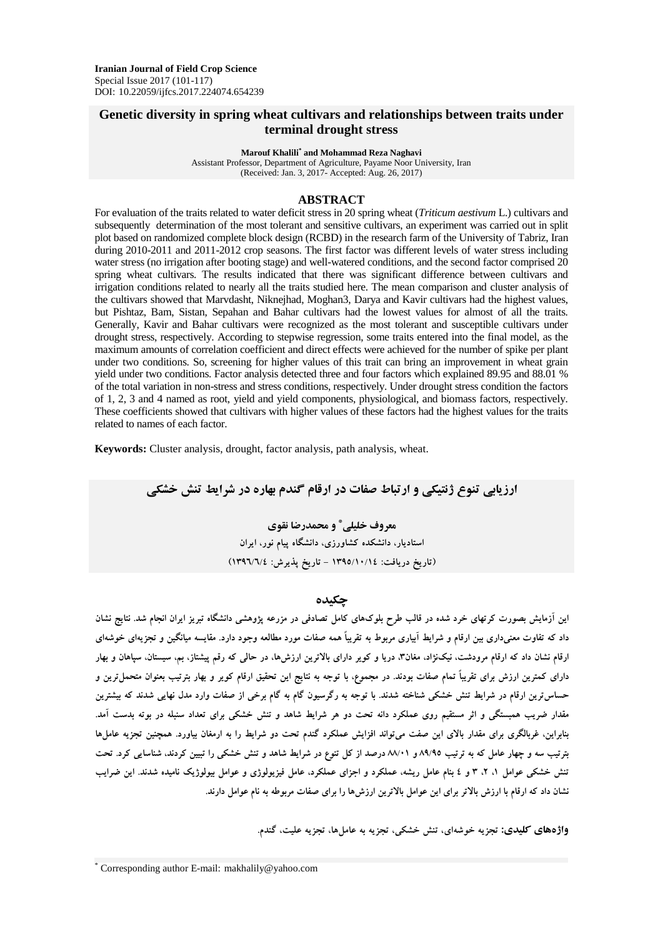# **Genetic diversity in spring wheat cultivars and relationships between traits under terminal drought stress**

**Marouf Khalili\* and Mohammad Reza Naghavi** Assistant Professor, Department of Agriculture, Payame Noor University, Iran (Received: Jan. 3, 2017- Accepted: Aug. 26, 2017)

#### **ABSTRACT**

For evaluation of the traits related to water deficit stress in 20 spring wheat (*Triticum aestivum* L.) cultivars and subsequently determination of the most tolerant and sensitive cultivars, an experiment was carried out in split plot based on randomized complete block design (RCBD) in the research farm of the University of Tabriz, Iran during 2010-2011 and 2011-2012 crop seasons. The first factor was different levels of water stress including water stress (no irrigation after booting stage) and well-watered conditions, and the second factor comprised 20 spring wheat cultivars. The results indicated that there was significant difference between cultivars and irrigation conditions related to nearly all the traits studied here. The mean comparison and cluster analysis of the cultivars showed that Marvdasht, Niknejhad, Moghan3, Darya and Kavir cultivars had the highest values, but Pishtaz, Bam, Sistan, Sepahan and Bahar cultivars had the lowest values for almost of all the traits. Generally, Kavir and Bahar cultivars were recognized as the most tolerant and susceptible cultivars under drought stress, respectively. According to stepwise regression, some traits entered into the final model, as the maximum amounts of correlation coefficient and direct effects were achieved for the number of spike per plant under two conditions. So, screening for higher values of this trait can bring an improvement in wheat grain yield under two conditions. Factor analysis detected three and four factors which explained 89.95 and 88.01 % of the total variation in non-stress and stress conditions, respectively. Under drought stress condition the factors of 1, 2, 3 and 4 named as root, yield and yield components, physiological, and biomass factors, respectively. These coefficients showed that cultivars with higher values of these factors had the highest values for the traits related to names of each factor.

**Keywords:** Cluster analysis, drought, factor analysis, path analysis, wheat.



### **چکیده**

**این آزمایش بصورت کرتهای خرد شده در قالب طرح بلوکهای کامل تصادفی در مزرعه پژوهشی دانشگاه تبریز ایران انجام شد. نتایج نشان** داد که تفاوت معنیداری بین ارقام و شرایط آبیاری مربوط به تقریباً همه صفات مورد مطالعه وجود دارد. مقایسه میانگین و تجزیهای خوشهای ارقام نشان داد که ارقام مرودشت، نیکنژاد، مغان۳، دریا و کویر دارای بالاترین ارزشها، در حالی که رقم پیشتاز، بم، سیستان، سیاهان و بهار دارای کمترین ارزش برای تقریباً تمام صفات بودند. در مجموع، با توجه به نتایج این تحقیق ارقام کویر و بهار بترتیب بعنوان متحمل ترین و حساس ترین ارقام در شرایط تنش خشکی شناخته شدند. با توجه به رگرسیون گام به گام برخی از صفات وارد مدل نهایی شدند که بیشترین **مقدار ضریب همبستگی و اثر مستقیم روی عملکرد دانه تحت دو هر شرایط شاهد و تنش خشکی برای تعداد سنبله در بوته بدست آمد.**  بنابراین، غربالگری برای مقدار بالای این صفت می تواند افزایش عملکرد گندم تحت دو شرایط را به ارمغان بیاورد. همچنین تجزیه عاملها بترتیب سه و چهار عامل که به ترتیب ۸۹/۹۵ و ۸۸/۰۱ درصد از کل تنوع در شرایط شاهد و تنش خشکی را تبیین کردند، شناسایی کرد. تحت .<br>تنش خشکی عوامل ۱، ۲، ۳ و ٤ بنام عامل ریشه، عملکرد و اجزای عملکرد، عامل فیزیولوژی و عوامل بیولوژیک نامیده شدند. این ضرایب نشان داد که ارقام با ارزش بالاتر برای این عوامل بالاترین ارزش ها را برای صفات مربوطه به نام عوامل دارند.

**واژههای کلیدی: تجزیه خوشهای، تنش خشکی، تجزیه به عاملها، تجزیه علیت، گندم.**

<sup>\*</sup> Corresponding author E-mail: makhalily@yahoo.com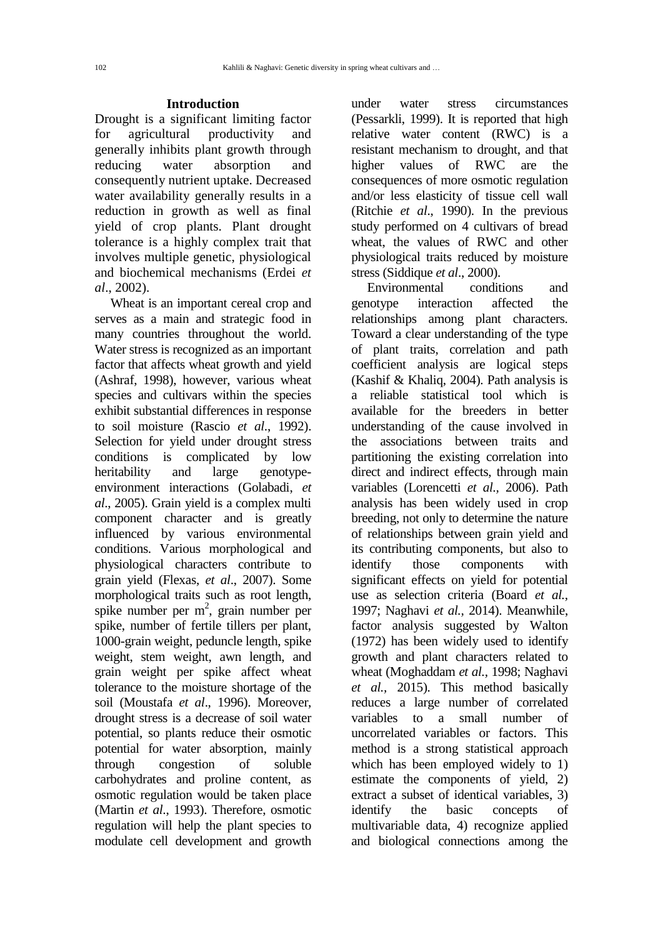## **Introduction**

Drought is a significant limiting factor for agricultural productivity and generally inhibits plant growth through reducing water absorption and consequently nutrient uptake. Decreased water availability generally results in a reduction in growth as well as final yield of crop plants. Plant drought tolerance is a highly complex trait that involves multiple genetic, physiological and biochemical mechanisms (Erdei *et al*., 2002).

Wheat is an important cereal crop and serves as a main and strategic food in many countries throughout the world. Water stress is recognized as an important factor that affects wheat growth and yield (Ashraf, 1998), however, various wheat species and cultivars within the species exhibit substantial differences in response to soil moisture (Rascio *et al*., 1992). Selection for yield under drought stress conditions is complicated by low heritability and large genotypeenvironment interactions (Golabadi, *et al*., 2005). Grain yield is a complex multi component character and is greatly influenced by various environmental conditions. Various morphological and physiological characters contribute to grain yield (Flexas, *et al*., 2007). Some morphological traits such as root length, spike number per  $m^2$ , grain number per spike, number of fertile tillers per plant, 1000-grain weight, peduncle length, spike weight, stem weight, awn length, and grain weight per spike affect wheat tolerance to the moisture shortage of the soil (Moustafa *et al*., 1996). Moreover, drought stress is a decrease of soil water potential, so plants reduce their osmotic potential for water absorption, mainly through congestion of soluble carbohydrates and proline content, as osmotic regulation would be taken place (Martin *et al*., 1993). Therefore, osmotic regulation will help the plant species to modulate cell development and growth under water stress circumstances (Pessarkli, 1999). It is reported that high relative water content (RWC) is a resistant mechanism to drought, and that higher values of RWC are the consequences of more osmotic regulation and/or less elasticity of tissue cell wall (Ritchie *et al*., 1990). In the previous study performed on 4 cultivars of bread wheat, the values of RWC and other physiological traits reduced by moisture stress (Siddique *et al*., 2000).

Environmental conditions and genotype interaction affected the relationships among plant characters. Toward a clear understanding of the type of plant traits, correlation and path coefficient analysis are logical steps (Kashif & Khaliq, 2004). Path analysis is a reliable statistical tool which is available for the breeders in better understanding of the cause involved in the associations between traits and partitioning the existing correlation into direct and indirect effects, through main variables (Lorencetti *et al.,* 2006). Path analysis has been widely used in crop breeding, not only to determine the nature of relationships between grain yield and its contributing components, but also to identify those components with significant effects on yield for potential use as selection criteria (Board *et al.,* 1997; Naghavi *et al.,* 2014). Meanwhile, factor analysis suggested by Walton (1972) has been widely used to identify growth and plant characters related to wheat (Moghaddam *et al.,* 1998; Naghavi *et al.,* 2015). This method basically reduces a large number of correlated variables to a small number of uncorrelated variables or factors. This method is a strong statistical approach which has been employed widely to 1) estimate the components of yield, 2) extract a subset of identical variables, 3) identify the basic concepts of multivariable data, 4) recognize applied and biological connections among the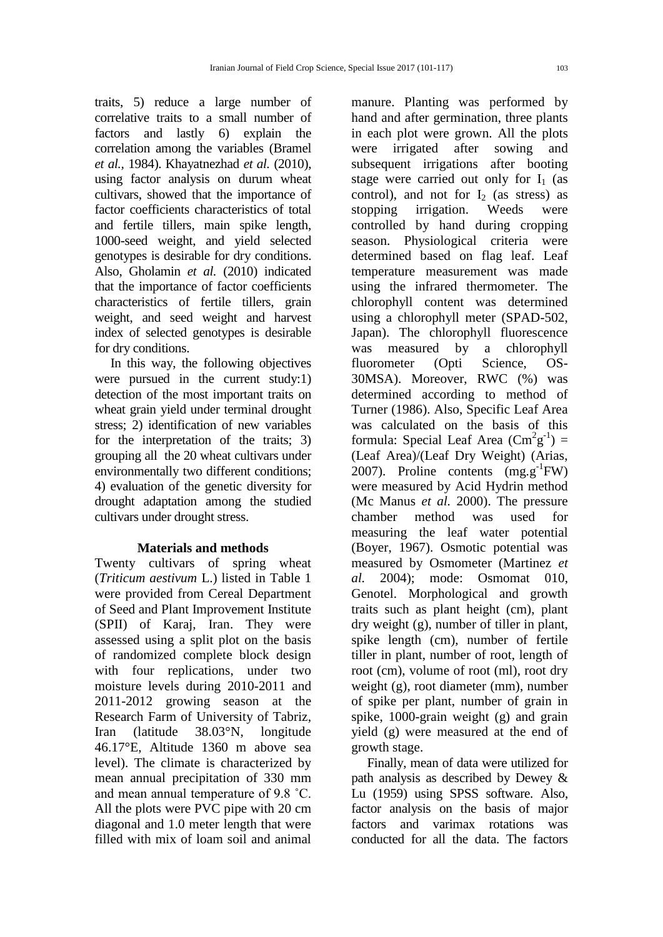traits, 5) reduce a large number of correlative traits to a small number of factors and lastly 6) explain the correlation among the variables (Bramel *et al.,* 1984). Khayatnezhad *et al.* (2010), using factor analysis on durum wheat cultivars, showed that the importance of factor coefficients characteristics of total and fertile tillers, main spike length, 1000-seed weight, and yield selected genotypes is desirable for dry conditions. Also, Gholamin *et al.* (2010) indicated that the importance of factor coefficients characteristics of fertile tillers, grain weight, and seed weight and harvest index of selected genotypes is desirable for dry conditions.

In this way, the following objectives were pursued in the current study:1) detection of the most important traits on wheat grain yield under terminal drought stress; 2) identification of new variables for the interpretation of the traits; 3) grouping all the 20 wheat cultivars under environmentally two different conditions; 4) evaluation of the genetic diversity for drought adaptation among the studied cultivars under drought stress.

## **Materials and methods**

Twenty cultivars of spring wheat (*Triticum aestivum* L.) listed in Table 1 were provided from Cereal Department of Seed and Plant Improvement Institute (SPII) of Karaj, Iran. They were assessed using a split plot on the basis of randomized complete block design with four replications, under two moisture levels during 2010-2011 and 2011-2012 growing season at the Research Farm of University of Tabriz, Iran (latitude 38.03°N, longitude 46.17°E, Altitude 1360 m above sea level). The climate is characterized by mean annual precipitation of 330 mm and mean annual temperature of 9.8 ˚C. All the plots were PVC pipe with 20 cm diagonal and 1.0 meter length that were filled with mix of loam soil and animal

manure. Planting was performed by hand and after germination, three plants in each plot were grown. All the plots were irrigated after sowing and subsequent irrigations after booting stage were carried out only for  $I_1$  (as control), and not for  $I_2$  (as stress) as stopping irrigation. Weeds were controlled by hand during cropping season. Physiological criteria were determined based on flag leaf. Leaf temperature measurement was made using the infrared thermometer. The chlorophyll content was determined using a chlorophyll meter (SPAD-502, Japan). The chlorophyll fluorescence was measured by a chlorophyll fluorometer (Opti Science, OS-30MSA). Moreover, RWC (%) was determined according to method of Turner (1986). Also, Specific Leaf Area was calculated on the basis of this formula: Special Leaf Area  $(Cm^2g^{-1})$  = (Leaf Area)/(Leaf Dry Weight) (Arias, 2007). Proline contents  $(mg.g^{-1}FW)$ were measured by Acid Hydrin method (Mc Manus *et al.* 2000). The pressure chamber method was used for measuring the leaf water potential (Boyer, 1967). Osmotic potential was measured by Osmometer (Martinez *et al.* 2004); mode: Osmomat 010, Genotel. Morphological and growth traits such as plant height (cm), plant dry weight (g), number of tiller in plant, spike length (cm), number of fertile tiller in plant, number of root, length of root (cm), volume of root (ml), root dry weight (g), root diameter (mm), number of spike per plant, number of grain in spike, 1000-grain weight (g) and grain yield (g) were measured at the end of growth stage.

Finally, mean of data were utilized for path analysis as described by Dewey & Lu (1959) using SPSS software. Also, factor analysis on the basis of major factors and varimax rotations was conducted for all the data. The factors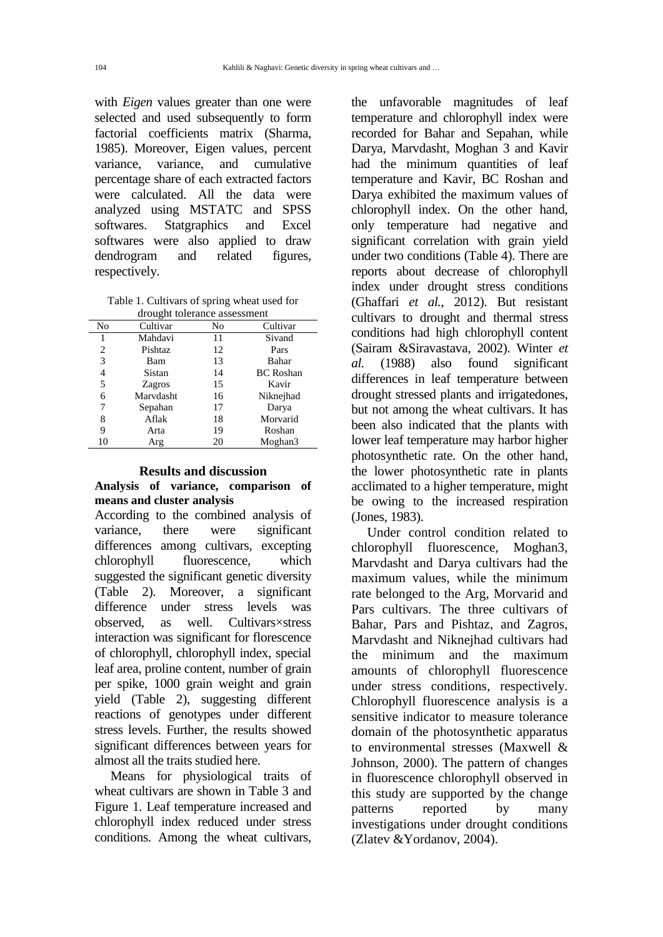with *Eigen* values greater than one were selected and used subsequently to form factorial coefficients matrix (Sharma, 1985). Moreover, Eigen values, percent variance, variance, and cumulative percentage share of each extracted factors were calculated. All the data were analyzed using MSTATC and SPSS softwares. Statgraphics and Excel softwares were also applied to draw dendrogram and related figures, respectively.

Table 1. Cultivars of spring wheat used for drought tolerance assessment

|    | arought torerance assessment |    |                  |
|----|------------------------------|----|------------------|
| No | Cultivar                     | No | Cultivar         |
| 1  | Mahdavi                      | 11 | Sivand           |
| 2  | Pishtaz                      | 12 | Pars             |
| 3  | Bam                          | 13 | Bahar            |
| 4  | Sistan                       | 14 | <b>BC</b> Roshan |
| 5  | Zagros                       | 15 | Kavir            |
| 6  | Marvdasht                    | 16 | Niknejhad        |
| 7  | Sepahan                      | 17 | Darya            |
| 8  | Aflak                        | 18 | Morvarid         |
| 9  | Arta                         | 19 | Roshan           |
| 10 | Arg                          | 20 | Moghan3          |

#### **Results and discussion**

### **Analysis of variance, comparison of means and cluster analysis**

According to the combined analysis of variance, there were significant differences among cultivars, excepting chlorophyll fluorescence, which suggested the significant genetic diversity (Table 2). Moreover, a significant difference under stress levels was observed, as well. Cultivars×stress interaction was significant for florescence of chlorophyll, chlorophyll index, special leaf area, proline content, number of grain per spike, 1000 grain weight and grain yield (Table 2), suggesting different reactions of genotypes under different stress levels. Further, the results showed significant differences between years for almost all the traits studied here.

Means for physiological traits of wheat cultivars are shown in Table 3 and Figure 1. Leaf temperature increased and chlorophyll index reduced under stress conditions. Among the wheat cultivars,

the unfavorable magnitudes of leaf temperature and chlorophyll index were recorded for Bahar and Sepahan, while Darya, Marvdasht, Moghan 3 and Kavir had the minimum quantities of leaf temperature and Kavir, BC Roshan and Darya exhibited the maximum values of chlorophyll index. On the other hand, only temperature had negative and significant correlation with grain yield under two conditions (Table 4). There are reports about decrease of chlorophyll index under drought stress conditions (Ghaffari *et al.*, 2012). But resistant cultivars to drought and thermal stress conditions had high chlorophyll content (Sairam &Siravastava, 2002). Winter *et al.* (1988) also found significant differences in leaf temperature between drought stressed plants and irrigatedones, but not among the wheat cultivars. It has been also indicated that the plants with lower leaf temperature may harbor higher photosynthetic rate. On the other hand, the lower photosynthetic rate in plants acclimated to a higher temperature, might be owing to the increased respiration (Jones, 1983).

Under control condition related to chlorophyll fluorescence, Moghan3, Marvdasht and Darya cultivars had the maximum values, while the minimum rate belonged to the Arg, Morvarid and Pars cultivars. The three cultivars of Bahar, Pars and Pishtaz, and Zagros, Marvdasht and Niknejhad cultivars had the minimum and the maximum amounts of chlorophyll fluorescence under stress conditions, respectively. Chlorophyll fluorescence analysis is a sensitive indicator to measure tolerance domain of the photosynthetic apparatus to environmental stresses (Maxwell & Johnson, 2000). The pattern of changes in fluorescence chlorophyll observed in this study are supported by the change patterns reported by many investigations under drought conditions (Zlatev &Yordanov, 2004).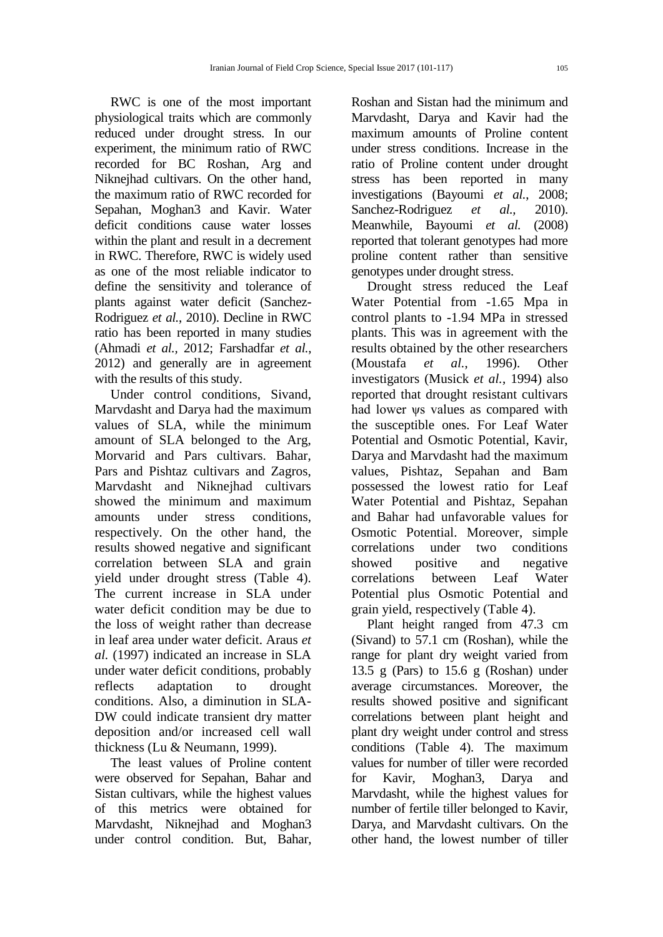RWC is one of the most important physiological traits which are commonly reduced under drought stress. In our experiment, the minimum ratio of RWC recorded for BC Roshan, Arg and Niknejhad cultivars. On the other hand, the maximum ratio of RWC recorded for Sepahan, Moghan3 and Kavir. Water deficit conditions cause water losses within the plant and result in a decrement in RWC. Therefore, RWC is widely used as one of the most reliable indicator to define the sensitivity and tolerance of plants against water deficit (Sanchez-Rodriguez *et al.*, 2010). Decline in RWC ratio has been reported in many studies (Ahmadi *et al.,* 2012; Farshadfar *et al.*, 2012) and generally are in agreement with the results of this study.

Under control conditions, Sivand, Marvdasht and Darya had the maximum values of SLA, while the minimum amount of SLA belonged to the Arg, Morvarid and Pars cultivars. Bahar, Pars and Pishtaz cultivars and Zagros, Marvdasht and Niknejhad cultivars showed the minimum and maximum amounts under stress conditions, respectively. On the other hand, the results showed negative and significant correlation between SLA and grain yield under drought stress (Table 4). The current increase in SLA under water deficit condition may be due to the loss of weight rather than decrease in leaf area under water deficit. Araus *et al.* (1997) indicated an increase in SLA under water deficit conditions, probably reflects adaptation to drought conditions. Also, a diminution in SLA-DW could indicate transient dry matter deposition and/or increased cell wall thickness (Lu & Neumann, 1999).

The least values of Proline content were observed for Sepahan, Bahar and Sistan cultivars, while the highest values of this metrics were obtained for Marvdasht, Niknejhad and Moghan3 under control condition. But, Bahar,

Roshan and Sistan had the minimum and Marvdasht, Darya and Kavir had the maximum amounts of Proline content under stress conditions. Increase in the ratio of Proline content under drought stress has been reported in many investigations (Bayoumi *et al.*, 2008; Sanchez-Rodriguez *et al.,* 2010). Meanwhile, Bayoumi *et al.* (2008) reported that tolerant genotypes had more proline content rather than sensitive genotypes under drought stress.

Drought stress reduced the Leaf Water Potential from -1.65 Mpa in control plants to -1.94 MPa in stressed plants. This was in agreement with the results obtained by the other researchers (Moustafa *et al.*, 1996). Other investigators (Musick *et al.*, 1994) also reported that drought resistant cultivars had lower ws values as compared with the susceptible ones. For Leaf Water Potential and Osmotic Potential, Kavir, Darya and Marvdasht had the maximum values, Pishtaz, Sepahan and Bam possessed the lowest ratio for Leaf Water Potential and Pishtaz, Sepahan and Bahar had unfavorable values for Osmotic Potential. Moreover, simple correlations under two conditions showed positive and negative correlations between Leaf Water Potential plus Osmotic Potential and grain yield, respectively (Table 4).

Plant height ranged from 47.3 cm (Sivand) to 57.1 cm (Roshan), while the range for plant dry weight varied from 13.5 g (Pars) to 15.6 g (Roshan) under average circumstances. Moreover, the results showed positive and significant correlations between plant height and plant dry weight under control and stress conditions (Table 4). The maximum values for number of tiller were recorded for Kavir, Moghan3, Darya and Marvdasht, while the highest values for number of fertile tiller belonged to Kavir, Darya, and Marvdasht cultivars. On the other hand, the lowest number of tiller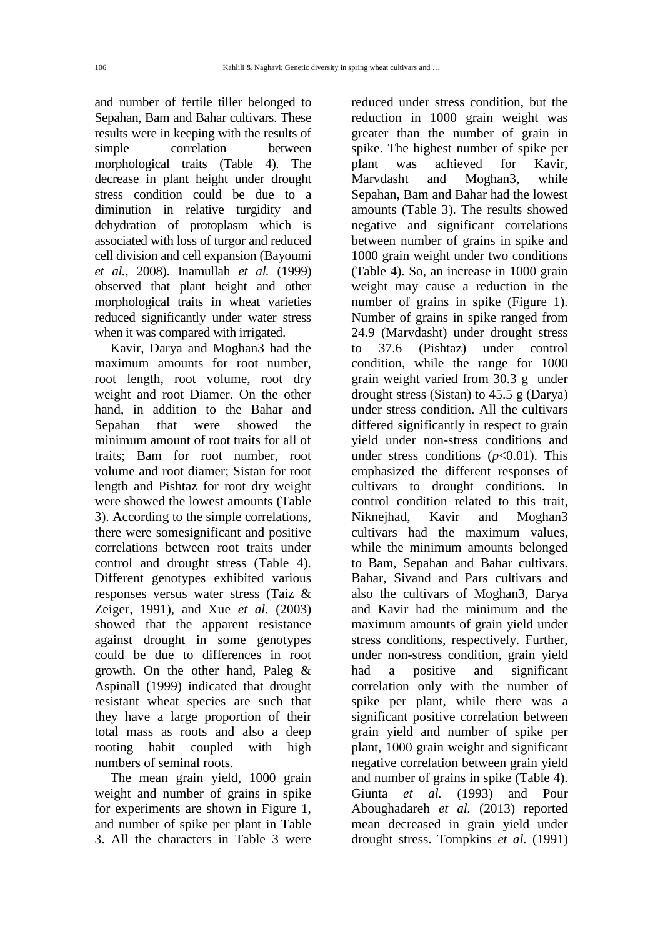and number of fertile tiller belonged to Sepahan, Bam and Bahar cultivars. These results were in keeping with the results of simple correlation between morphological traits (Table 4). The decrease in plant height under drought stress condition could be due to a diminution in relative turgidity and dehydration of protoplasm which is associated with loss of turgor and reduced cell division and cell expansion (Bayoumi *et al.*, 2008). Inamullah *et al.* (1999) observed that plant height and other morphological traits in wheat varieties reduced significantly under water stress when it was compared with irrigated.

Kavir, Darya and Moghan3 had the maximum amounts for root number, root length, root volume, root dry weight and root Diamer. On the other hand, in addition to the Bahar and Sepahan that were showed the minimum amount of root traits for all of traits; Bam for root number, root volume and root diamer; Sistan for root length and Pishtaz for root dry weight were showed the lowest amounts (Table 3). According to the simple correlations, there were somesignificant and positive correlations between root traits under control and drought stress (Table 4). Different genotypes exhibited various responses versus water stress (Taiz & Zeiger, 1991), and Xue *et al.* (2003) showed that the apparent resistance against drought in some genotypes could be due to differences in root growth. On the other hand, Paleg & Aspinall (1999) indicated that drought resistant wheat species are such that they have a large proportion of their total mass as roots and also a deep rooting habit coupled with high numbers of seminal roots.

The mean grain yield, 1000 grain weight and number of grains in spike for experiments are shown in Figure 1, and number of spike per plant in Table 3. All the characters in Table 3 were

reduced under stress condition, but the reduction in 1000 grain weight was greater than the number of grain in spike. The highest number of spike per plant was achieved for Kavir, Marvdasht and Moghan3, while Sepahan, Bam and Bahar had the lowest amounts (Table 3). The results showed negative and significant correlations between number of grains in spike and 1000 grain weight under two conditions (Table 4). So, an increase in 1000 grain weight may cause a reduction in the number of grains in spike (Figure 1). Number of grains in spike ranged from 24.9 (Marvdasht) under drought stress to 37.6 (Pishtaz) under control condition, while the range for 1000 grain weight varied from 30.3 g under drought stress (Sistan) to 45.5 g (Darya) under stress condition. All the cultivars differed significantly in respect to grain yield under non-stress conditions and under stress conditions  $(p<0.01)$ . This emphasized the different responses of cultivars to drought conditions. In control condition related to this trait, Niknejhad, Kavir and Moghan3 cultivars had the maximum values, while the minimum amounts belonged to Bam, Sepahan and Bahar cultivars. Bahar, Sivand and Pars cultivars and also the cultivars of Moghan3, Darya and Kavir had the minimum and the maximum amounts of grain yield under stress conditions, respectively. Further, under non-stress condition, grain yield had a positive and significant correlation only with the number of spike per plant, while there was a significant positive correlation between grain yield and number of spike per plant, 1000 grain weight and significant negative correlation between grain yield and number of grains in spike (Table 4). Giunta *et al.* (1993) and Pour Aboughadareh *et al.* (2013) reported mean decreased in grain yield under drought stress. Tompkins *et al.* (1991)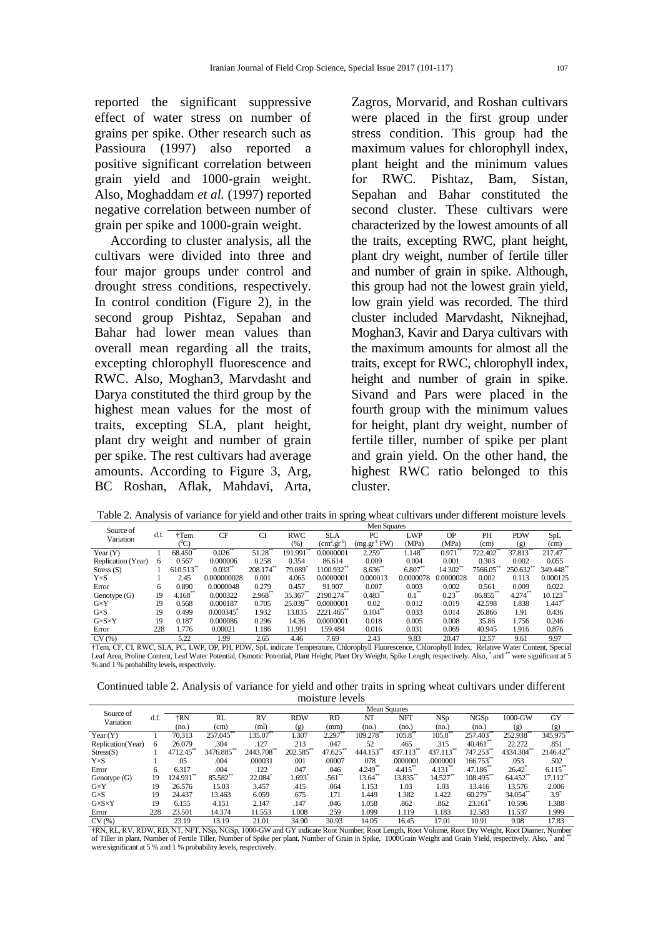reported the significant suppressive effect of water stress on number of grains per spike. Other research such as Passioura (1997) also reported a positive significant correlation between grain yield and 1000-grain weight. Also, Moghaddam *et al.* (1997) reported negative correlation between number of grain per spike and 1000-grain weight.

According to cluster analysis, all the cultivars were divided into three and four major groups under control and drought stress conditions, respectively. In control condition (Figure 2), in the second group Pishtaz, Sepahan and Bahar had lower mean values than overall mean regarding all the traits, excepting chlorophyll fluorescence and RWC. Also, Moghan3, Marvdasht and Darya constituted the third group by the highest mean values for the most of traits, excepting SLA, plant height, plant dry weight and number of grain per spike. The rest cultivars had average amounts. According to Figure 3, Arg, BC Roshan, Aflak, Mahdavi, Arta,

Zagros, Morvarid, and Roshan cultivars were placed in the first group under stress condition. This group had the maximum values for chlorophyll index, plant height and the minimum values for RWC. Pishtaz, Bam, Sistan, Sepahan and Bahar constituted the second cluster. These cultivars were characterized by the lowest amounts of all the traits, excepting RWC, plant height, plant dry weight, number of fertile tiller and number of grain in spike. Although, this group had not the lowest grain yield, low grain yield was recorded. The third cluster included Marvdasht, Niknejhad, Moghan3, Kavir and Darya cultivars with the maximum amounts for almost all the traits, except for RWC, chlorophyll index, height and number of grain in spike. Sivand and Pars were placed in the fourth group with the minimum values for height, plant dry weight, number of fertile tiller, number of spike per plant and grain yield. On the other hand, the highest RWC ratio belonged to this cluster.

| Source of             |      |                         |             |                      |            |                          | Men Squares           |            |            |              |            |           |
|-----------------------|------|-------------------------|-------------|----------------------|------------|--------------------------|-----------------------|------------|------------|--------------|------------|-----------|
| Variation             | d.f. | †Tem                    | CF          | CI                   | <b>RWC</b> | <b>SLA</b>               | РC                    | <b>LWP</b> | <b>OP</b>  | PH           | <b>PDW</b> | SpL       |
|                       |      | $^0\mathrm{C}$          |             |                      | (%)        | $(cm^{2}, gr^{-1})$      | $(mg.gr^{-1} FW)$     | (MPa)      | (MPa)      | (cm)         | (g)        | (cm)      |
| Year $(Y)$            |      | 68.450                  | 0.026       | 51.28                | 191.991    | 0.0000001                | $2.259$ <sup>*</sup>  | 1.148      | 0.971      | 722.402      | 37.813     | 217.47    |
| Replication (Year)    | 6    | 0.567                   | 0.000006    | 0.258                | 0.354      | 86.614                   | 0.009                 | 0.004      | 0.001      | 0.303        | 0.002      | 0.055     |
| Stress $(S)$          |      | $610.513$ <sup>**</sup> | $0.033***$  | $208.174^{**}$       | 79.089     | $1100.932$ <sup>**</sup> | $8.636^{*}$           | 6.807'''   | $14.302**$ | $7566.05$ ** | 250.632    | 349.448** |
| $Y\times S$           |      | 2.45                    | 0.000000028 | 0.001                | 4.065      | 0.0000001                | 0.000013              | 0.0000078  | 0.0000028  | 0.002        | 0.113      | 0.000125  |
| Error                 | 6    | 0.890                   | 0.0000048   | 0.279                | 0.457      | 91.907                   | 0.007                 | 0.003      | 0.002      | 0.561        | 0.009      | 0.022     |
| Genotype(G)           | 19   | 4.168'''                | 0.000322    | $2.968$ <sup>*</sup> | 35.367**   | $2190.274$ <sup>**</sup> | $0.483$ <sup>**</sup> | $0.1^{**}$ | $0.23***$  | 86.855**     | $4.274***$ | 10.123    |
| $G \times Y$          | 19   | 0.568                   | 0.000187    | 0.705                | $25.039**$ | 0.0000001                | 0.02                  | 0.012      | 0.019      | 42.598       | 1.838      | 1.447     |
| $G\times S$           | 19   | 0.499                   | 0.000345    | 1.932                | 13.835     | $2221.465$ <sup>**</sup> | $0.104$ **            | 0.033      | 0.014      | 26.866       | 1.91       | 0.436     |
| $G \times S \times Y$ | 19   | 0.187                   | 0.000086    | 0.296                | 14.36      | 0.0000001                | 0.018                 | 0.005      | 0.008      | 35.86        | 1.756      | 0.246     |
| Error                 | 228  | 1.776                   | 0.00021     | 1.186                | 11.991     | 159.484                  | 0.016                 | 0.031      | 0.069      | 40.945       | 1.916      | 0.876     |
| CV(%)                 |      | 5.22                    | 1.99        | 2.65                 | 4.46       | 7.69                     | 2.43                  | 9.83       | 20.47      | 12.57        | 9.61       | 9.97      |

Table 2. Analysis of variance for yield and other traits in spring wheat cultivars under different moisture levels

†Tem, CF, CI, RWC, SLA, PC, LWP, OP, PH, PDW, SpL indicate Temperature, Chlorophyll Fluorescence, Chlorophyll Index, Relative Water Content, Special Leaf Area, Proline Content, Leaf Water Potential, Osmotic Potential, Plant Height, Plant Dry Weight, Spike Length, respectively. Also, \* and \*\* were significant at 5 % and 1 % probability levels, respectively.

Continued table 2. Analysis of variance for yield and other traits in spring wheat cultivars under different moisture levels

| Source of             |      |           |            |            |                      |           | <b>Mean Squares</b>  |                      |                      |                        |                   |               |
|-----------------------|------|-----------|------------|------------|----------------------|-----------|----------------------|----------------------|----------------------|------------------------|-------------------|---------------|
| Variation             | d.f. | †RN       | RL         | RV         | <b>RDW</b>           | <b>RD</b> | NT                   | NFT                  | NSp                  | <b>NGSp</b>            | 1000-GW           | GY            |
|                       |      | (no.)     | (cm)       | (ml)       | (g)                  | (mm)      | (no.)                | (no.)                | (no.)                | (no.)                  | (g)               | (g)           |
| Year $(Y)$            |      | 70.313    | 257.045    | 135.07     | .307                 | 2.297     | 109.278              | $105.8$ <sup>*</sup> | $105.8$ <sup>*</sup> | 257.403                | 252.938           | 345.975       |
| Replication(Year)     | 6    | 26.079    | .304       | .127       | .213                 | .047      | .52                  | .465                 | .315                 | $40.461$ **            | 22.272            | .851          |
| Stress(S)             |      | 4712.45** | 3476.885** | 2443.708** | 202.585**            | 47.625**  | 444.153**            | $437.113**$          | 437.113**            | 747.253**              | 4334.304**        | $2146.42$ **  |
| $Y\times S$           |      | .05       | .004       | .000031    | .001                 | .00007    | .078                 | .0000001             | .0000001             | 166.753                | .053              | .502          |
| Error                 | 6    | 6.317     | .004       | .122       | .047                 | .046      | $4.249$ <sup>*</sup> | 4.415'''             | $4.131***$           | $47.186^{**}$          | $26.42^{\degree}$ | $6.115***$    |
| Genotype $(G)$        | 19   | 124.931** | 85.582**   | 22.084     | $1.693$ <sup>*</sup> | $.561**$  | $13.64$ **           | 13.835**             | $14.527**$           | $108.495***$           | $64.452**$        | $17.112**$    |
| $G \times Y$          | 19   | 26.576    | 15.03      | 3.457      | .415                 | .064      | 1.153                | 1.03                 | 1.03                 | 13.416                 | 13.576            | 2.006         |
| $G \times S$          | 19   | 24.437    | 13.463     | 6.059      | .675                 | .171      | 1.449                | 1.382                | 1.422                | $60.279$ <sup>**</sup> | 34.054            | $3.9^{\circ}$ |
| $G \times S \times Y$ | 19   | 6.155     | 4.151      | 2.147      | .147                 | .046      | 1.058                | .862                 | .862                 | $23.161$ <sup>*</sup>  | 10.596            | 1.388         |
| Error                 | 228  | 23.501    | 14.374     | 11.553     | 1.008                | .259      | 1.099                | 1.119                | 1.183                | 12.583                 | 11.537            | 1.999         |
| CV(%)                 |      | 23.19     | 13.19      | 21.01      | 34.90                | 30.93     | 14.05                | 16.45                | 17.01                | 10.91                  | 9.08              | 17.83         |

†RN, RL, RV, RDW, RD, NT, NFT, NSp, NGSp, 1000-GW and GY indicate Root Number, Root Length, Root Volume, Root Dry Weight, Root Diamer, Number of Tiller in plant, Number of Fertile Tiller, Number of Spike per plant, Number of Grain in Spike, 1000Grain Weight and Grain Yield, respectively. Also,  $*$  and  $*$ were significant at 5 % and 1 % probability levels, respectively.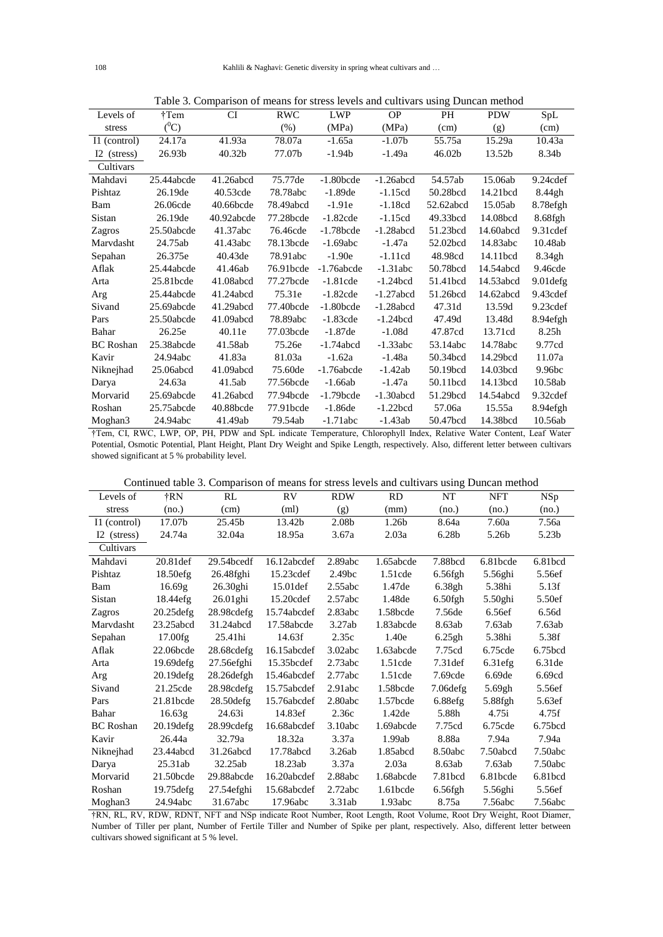|                         |             |              |            |              |             | ັ         |            |             |
|-------------------------|-------------|--------------|------------|--------------|-------------|-----------|------------|-------------|
| Levels of               | †Tem        | <b>CI</b>    | <b>RWC</b> | <b>LWP</b>   | <b>OP</b>   | PH        | <b>PDW</b> | SpL         |
| stress                  | $(^0C)$     |              | $(\% )$    | (MPa)        | (MPa)       | (cm)      | (g)        | (cm)        |
| I1 (control)            | 24.17a      | 41.93a       | 78.07a     | $-1.65a$     | $-1.07b$    | 55.75a    | 15.29a     | 10.43a      |
| I <sub>2</sub> (stress) | 26.93b      | 40.32b       | 77.07b     | $-1.94b$     | $-1.49a$    | 46.02b    | 13.52b     | 8.34b       |
| Cultivars               |             |              |            |              |             |           |            |             |
| Mahdavi                 | 25.44abcde  | 41.26abcd    | 75.77de    | $-1.80$ bcde | $-1.26abcd$ | 54.57ab   | 15.06ab    | 9.24cdef    |
| Pishtaz                 | 26.19de     | 40.53cde     | 78.78abc   | $-1.89$ de   | $-1.15cd$   | 50.28bcd  | 14.21bcd   | 8.44gh      |
| Bam                     | 26.06cde    | $40.66$ bcde | 78.49abcd  | $-1.91e$     | $-1.18cd$   | 52.62abcd | 15.05ab    | 8.78efgh    |
| Sistan                  | 26.19de     | 40.92abcde   | 77.28bcde  | $-1.82$ cde  | $-1.15cd$   | 49.33bcd  | 14.08bcd   | 8.68fgh     |
| Zagros                  | 25.50abcde  | 41.37abc     | 76.46cde   | $-1.78$ bcde | $-1.28abcd$ | 51.23bcd  | 14.60abcd  | 9.31cdef    |
| Marydasht               | 24.75ab     | 41.43abc     | 78.13bcde  | $-1.69abc$   | $-1.47a$    | 52.02bcd  | 14.83abc   | 10.48ab     |
| Sepahan                 | 26.375e     | 40.43de      | 78.91abc   | $-1.90e$     | $-1.11cd$   | 48.98cd   | 14.11bcd   | 8.34gh      |
| Aflak                   | 25.44abcde  | 41.46ab      | 76.91bcde  | $-1.76abcde$ | $-1.31abc$  | 50.78bcd  | 14.54abcd  | 9.46cde     |
| Arta                    | 25.81bcde   | 41.08abcd    | 77.27bcde  | $-1.81$ cde  | $-1.24bcd$  | 51.41bcd  | 14.53abcd  | $9.01$ defg |
| Arg                     | 25.44abcde  | 41.24abcd    | 75.31e     | $-1.82$ cde  | $-1.27abcd$ | 51.26bcd  | 14.62abcd  | 9.43cdef    |
| Sivand                  | 25.69abcde  | 41.29abcd    | 77.40bcde  | $-1.80$ bcde | $-1.28abcd$ | 47.31d    | 13.59d     | 9.23cdef    |
| Pars                    | 25.50abcde  | 41.09abcd    | 78.89abc   | $-1.83$ cde  | $-1.24$ bcd | 47.49d    | 13.48d     | 8.94efgh    |
| Bahar                   | 26.25e      | 40.11e       | 77.03bcde  | $-1.87de$    | $-1.08d$    | 47.87cd   | 13.71cd    | 8.25h       |
| <b>BC</b> Roshan        | 25.38abcde  | 41.58ab      | 75.26e     | $-1.74abcd$  | $-1.33abc$  | 53.14abc  | 14.78abc   | 9.77cd      |
| Kavir                   | 24.94abc    | 41.83a       | 81.03a     | $-1.62a$     | $-1.48a$    | 50.34bcd  | 14.29bcd   | 11.07a      |
| Niknejhad               | 25.06abcd   | 41.09abcd    | 75.60de    | $-1.76abcde$ | $-1.42ab$   | 50.19bcd  | 14.03bcd   | 9.96bc      |
| Darya                   | 24.63a      | 41.5ab       | 77.56bcde  | $-1.66ab$    | $-1.47a$    | 50.11bcd  | 14.13bcd   | 10.58ab     |
| Morvarid                | 25.69abcde  | 41.26abcd    | 77.94bcde  | $-1.79$ bcde | $-1.30abcd$ | 51.29bcd  | 14.54abcd  | 9.32cdef    |
| Roshan                  | 25.75 abcde | 40.88bcde    | 77.91bcde  | $-1.86$ de   | $-1.22bcd$  | 57.06a    | 15.55a     | 8.94efgh    |
| Moghan3                 | 24.94abc    | 41.49ab      | 79.54ab    | $-1.71abc$   | $-1.43ab$   | 50.47bcd  | 14.38bcd   | 10.56ab     |

Table 3. Comparison of means for stress levels and cultivars using Duncan method

†Tem, CI, RWC, LWP, OP, PH, PDW and SpL indicate Temperature, Chlorophyll Index, Relative Water Content, Leaf Water Potential, Osmotic Potential, Plant Height, Plant Dry Weight and Spike Length, respectively. Also, different letter between cultivars showed significant at 5 % probability level.

| Continued table 3. Comparison of means for stress levels and cultivars using Duncan method |  |  |  |  |  |  |  |  |
|--------------------------------------------------------------------------------------------|--|--|--|--|--|--|--|--|
|--------------------------------------------------------------------------------------------|--|--|--|--|--|--|--|--|

|                  |                   |               | commute there so comparison or means for stress for the and cannot asing B anean method |                    |                   |             |            |                     |
|------------------|-------------------|---------------|-----------------------------------------------------------------------------------------|--------------------|-------------------|-------------|------------|---------------------|
| Levels of        | †RN               | RL            | RV                                                                                      | <b>RDW</b>         | <b>RD</b>         | <b>NT</b>   | <b>NFT</b> | <b>NSp</b>          |
| stress           | (no.)             | (cm)          | (ml)                                                                                    | (g)                | (mm)              | (no.)       | (no.)      | (no.)               |
| I1 (control)     | 17.07b            | 25.45b        | 13.42b                                                                                  | 2.08b              | 1.26 <sub>b</sub> | 8.64a       | 7.60a      | 7.56a               |
| I2 (stress)      | 24.74a            | 32.04a        | 18.95a                                                                                  | 3.67a              | 2.03a             | 6.28b       | 5.26b      | 5.23b               |
| Cultivars        |                   |               |                                                                                         |                    |                   |             |            |                     |
| Mahdavi          | 20.81def          | 29.54bcedf    | 16.12abcdef                                                                             | 2.89abc            | 1.65abcde         | 7.88bcd     | 6.81bcde   | 6.81bcd             |
| Pishtaz          | 18.50efg          | 26.48fghi     | $15.23$ cdef                                                                            | 2.49 <sub>bc</sub> | $1.51$ cde        | $6.56$ fgh  | 5.56ghi    | 5.56ef              |
| Bam              | 16.69g            | 26.30ghi      | 15.01def                                                                                | 2.55abc            | 1.47de            | 6.38gh      | 5.38hi     | 5.13f               |
| Sistan           | $18.44\text{efg}$ | $26.01$ ghi   | 15.20cdef                                                                               | 2.57abc            | 1.48de            | $6.50$ fgh  | 5.50ghi    | 5.50ef              |
| Zagros           | $20.25$ defg      | $28.98$ cdefg | 15.74abcdef                                                                             | 2.83abc            | 1.58bcde          | 7.56de      | 6.56ef     | 6.56d               |
| Marvdasht        | 23.25abcd         | 31.24abcd     | 17.58abcde                                                                              | 3.27ab             | 1.83abcde         | 8.63ab      | 7.63ab     | 7.63ab              |
| Sepahan          | 17.00fg           | 25.41hi       | 14.63f                                                                                  | 2.35c              | 1.40e             | 6.25gh      | 5.38hi     | 5.38f               |
| Aflak            | 22.06bcde         | $28.68$ cdefg | 16.15abcdef                                                                             | 3.02abc            | 1.63abcde         | 7.75cd      | 6.75cde    | 6.75 <sub>bcd</sub> |
| Arta             | $19.69$ defg      | $27.56$ efghi | 15.35bcdef                                                                              | 2.73abc            | $1.51$ cde        | $7.31$ def  | $6.31$ efg | 6.31de              |
| Arg              | 20.19defg         | 28.26 defgh   | 15.46abcdef                                                                             | 2.77abc            | $1.51$ cde        | 7.69cde     | 6.69de     | 6.69cd              |
| Sivand           | 21.25cde          | $28.98$ cdefg | 15.75abcdef                                                                             | 2.91abc            | 1.58bcde          | $7.06$ defg | 5.69gh     | 5.56ef              |
| Pars             | 21.81bcde         | 28.50defg     | 15.76abcdef                                                                             | 2.80abc            | $1.57$ bcde       | 6.88efg     | 5.88fgh    | 5.63ef              |
| Bahar            | 16.63g            | 24.63i        | 14.83ef                                                                                 | 2.36c              | 1.42de            | 5.88h       | 4.75i      | 4.75f               |
| <b>BC</b> Roshan | 20.19defg         | $28.99$ cdefg | 16.68abcdef                                                                             | 3.10abc            | 1.69abcde         | 7.75cd      | $6.75$ cde | 6.75 <sub>bcd</sub> |
| Kavir            | 26.44a            | 32.79a        | 18.32a                                                                                  | 3.37a              | 1.99ab            | 8.88a       | 7.94a      | 7.94a               |
| Niknejhad        | 23.44abcd         | 31.26abcd     | 17.78abcd                                                                               | 3.26ab             | 1.85abcd          | 8.50abc     | 7.50abcd   | 7.50abc             |
| Darya            | 25.31ab           | 32.25ab       | 18.23ab                                                                                 | 3.37a              | 2.03a             | 8.63ab      | 7.63ab     | 7.50abc             |
| Morvarid         | 21.50bcde         | 29.88abcde    | 16.20abcdef                                                                             | 2.88abc            | 1.68abcde         | 7.81bcd     | 6.81bcde   | 6.81bcd             |
| Roshan           | $19.75$ defg      | $27.54$ efghi | 15.68abcdef                                                                             | 2.72abc            | $1.61$ bcde       | $6.56$ fgh  | 5.56ghi    | 5.56ef              |
| Moghan3          | 24.94abc          | 31.67abc      | 17.96abc                                                                                | 3.31ab             | 1.93abc           | 8.75a       | 7.56abc    | 7.56abc             |

†RN, RL, RV, RDW, RDNT, NFT and NSp indicate Root Number, Root Length, Root Volume, Root Dry Weight, Root Diamer, Number of Tiller per plant, Number of Fertile Tiller and Number of Spike per plant, respectively. Also, different letter between cultivars showed significant at 5 % level.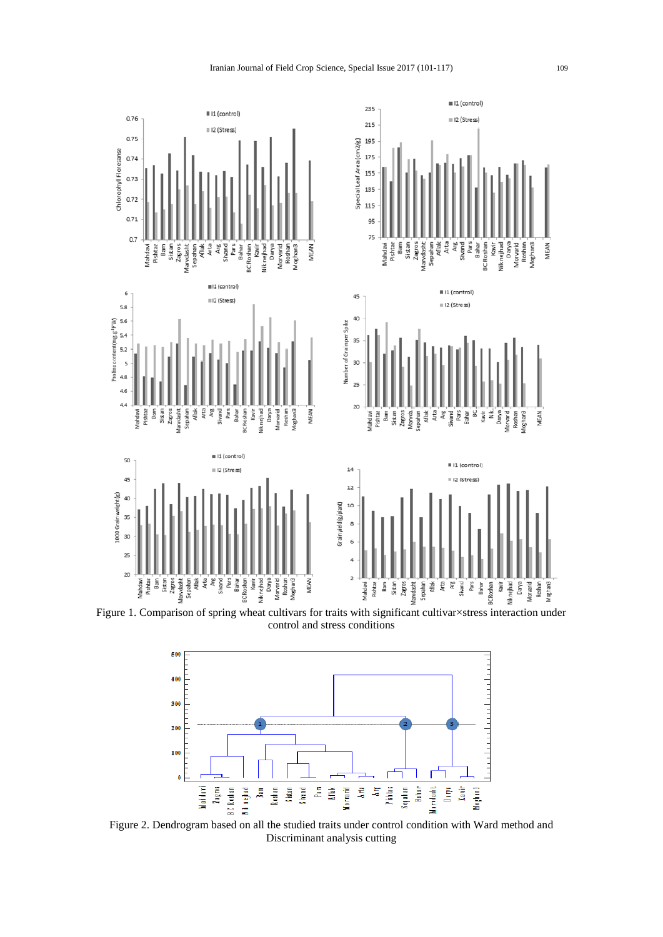

Figure 1. Comparison of spring wheat cultivars for traits with significant cultivar×stress interaction under control and stress conditions



Figure 2. Dendrogram based on all the studied traits under control condition with Ward method and Discriminant analysis cutting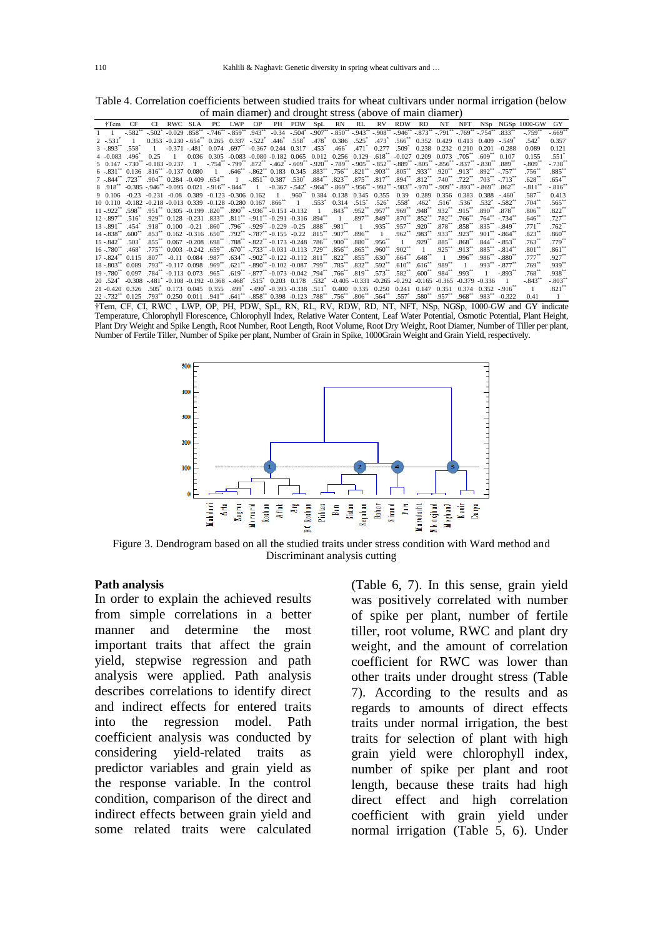| Table 4. Correlation coefficients between studied traits for wheat cultivars under normal irrigation (below |  |  |  |
|-------------------------------------------------------------------------------------------------------------|--|--|--|
| of main diamer) and drought stress (above of main diamer)                                                   |  |  |  |

|                                                                                                                                                                                                                                                                                                                                          | of main diamer) and drought stress (above of main diamer) |                |                                                                                                                                                                   |  |  |        |           |    |     |     |  |                   |                     |                                                                                                                                                                                                                                                                  |                             |                                |                                                                                         |                          |                       |                                                                                                                        |                     |
|------------------------------------------------------------------------------------------------------------------------------------------------------------------------------------------------------------------------------------------------------------------------------------------------------------------------------------------|-----------------------------------------------------------|----------------|-------------------------------------------------------------------------------------------------------------------------------------------------------------------|--|--|--------|-----------|----|-----|-----|--|-------------------|---------------------|------------------------------------------------------------------------------------------------------------------------------------------------------------------------------------------------------------------------------------------------------------------|-----------------------------|--------------------------------|-----------------------------------------------------------------------------------------|--------------------------|-----------------------|------------------------------------------------------------------------------------------------------------------------|---------------------|
| †Tem                                                                                                                                                                                                                                                                                                                                     | CF                                                        | CI –           | RWC SLA                                                                                                                                                           |  |  | PC LWP | <b>OP</b> | PH | PDW | SpL |  |                   |                     | RN RL RV RDW RD                                                                                                                                                                                                                                                  |                             |                                |                                                                                         |                          |                       | NT NFT NSp NGSp 1000-GW                                                                                                | GY.                 |
| $1 \quad 1$                                                                                                                                                                                                                                                                                                                              | $-.582^{**}$                                              |                |                                                                                                                                                                   |  |  |        |           |    |     |     |  |                   |                     | $-502^{\circ}$ $-0.029$ $.858^{\circ}$ $-746^{\circ}$ $-859^{\circ}$ $.943^{\circ}$ $-0.34$ $-504^{\circ}$ $-907^{\circ}$ $-850^{\circ}$ $-943^{\circ}$ $-908^{\circ}$ $-946^{\circ}$ $-873^{\circ}$ $-791^{\circ}$ $-769^{\circ}$ $-754^{\circ}$ $.833^{\circ}$ |                             |                                |                                                                                         |                          |                       | $-.759"$                                                                                                               | $-.669"$            |
| $2 - 531$                                                                                                                                                                                                                                                                                                                                | $\overline{1}$                                            |                |                                                                                                                                                                   |  |  |        |           |    |     |     |  |                   |                     | $0.353 - 0.230 - 0.654^{*}$ $0.265$ $0.337 - 522^{*}$ $.446^{*}$ $.558^{*}$ $.478^{*}$ $0.386$ $.525^{*}$ $.473^{*}$ $.566^{*}$ $0.352$ $0.429$ $0.413$ $0.409$ $-0.549^{*}$                                                                                     |                             |                                |                                                                                         |                          |                       | .542 <sup>°</sup>                                                                                                      | 0.357               |
| $3 - 893$ $558$ $*$                                                                                                                                                                                                                                                                                                                      |                                                           | $\overline{1}$ | $-0.371$ $-.481^*$ $0.074$ $.697^{**}$ $-0.367$ $0.244$ $0.317$ $.453^*$                                                                                          |  |  |        |           |    |     |     |  | $.466^*$ $.471^*$ | 0.277               | $.509^{\circ}$                                                                                                                                                                                                                                                   |                             |                                | 0.238 0.232 0.210 0.201 -0.288                                                          |                          |                       | 0.089                                                                                                                  | 0.121               |
| $4 - 0.083$ $.496^*$                                                                                                                                                                                                                                                                                                                     |                                                           | 0.25           | $-1$                                                                                                                                                              |  |  |        |           |    |     |     |  |                   |                     | $0.036$ $0.305$ $-0.083$ $-0.080$ $-0.182$ $0.065$ $0.012$ $0.256$ $0.129$ $.618^{**}$ $-0.027$ $0.209$ $0.073$ $.705^{**}$ $.609^{**}$ $0.107$                                                                                                                  |                             |                                |                                                                                         |                          |                       | 0.155                                                                                                                  | $.551^*$            |
| $5$ $0.147$ $-730^{\circ \circ}$ $-0.183$ $-0.237$ 1 $-754^{\circ \circ}$ $-799^{\circ \circ}$ $-872^{\circ}$ $-462^{\circ}$ $-609^{\circ \circ}$ $-920^{\circ \circ}$ $-789^{\circ \circ}$ $-905^{\circ}$ $-852^{\circ \circ}$ $-889^{\circ \circ}$ $-856^{\circ \circ}$ $-856^{\circ \circ}$ $-837^{\circ \circ}$ $-830^{\circ \circ}$ |                                                           |                |                                                                                                                                                                   |  |  |        |           |    |     |     |  |                   |                     |                                                                                                                                                                                                                                                                  |                             |                                |                                                                                         |                          |                       | $-.809"$                                                                                                               | $-.738"$            |
| "577", "920" (913" (913" (920" (920" (920" (921" (921" (921" (934" (934" (934" (934" (934" (933" (933 (934" (9                                                                                                                                                                                                                           |                                                           |                |                                                                                                                                                                   |  |  |        |           |    |     |     |  |                   |                     |                                                                                                                                                                                                                                                                  |                             |                                |                                                                                         |                          |                       | $.756^{\circ}$                                                                                                         | $.885**$            |
| 7 - 844** .723** .202** .0.384 .0.40* .722** .703** .0.40* .534* .823** .875* .875* .875** .877** .894** .740* .722** .703** -.713**                                                                                                                                                                                                     |                                                           |                |                                                                                                                                                                   |  |  |        |           |    |     |     |  |                   |                     |                                                                                                                                                                                                                                                                  |                             |                                |                                                                                         |                          |                       | .628                                                                                                                   | $.654***$           |
|                                                                                                                                                                                                                                                                                                                                          |                                                           |                |                                                                                                                                                                   |  |  |        |           |    |     |     |  |                   |                     |                                                                                                                                                                                                                                                                  |                             |                                |                                                                                         |                          |                       | $-.811"$                                                                                                               | $-.816"$            |
| 9 0.106 -0.23 -0.231 -0.08 0.389 -0.123 -0.306 0.162 1 .960** 0.384 0.138 0.345 0.355 0.39 0.289 0.356 0.383 0.388                                                                                                                                                                                                                       |                                                           |                |                                                                                                                                                                   |  |  |        |           |    |     |     |  |                   |                     |                                                                                                                                                                                                                                                                  |                             |                                |                                                                                         |                          | $-.460"$              | $.587^{\circ}$                                                                                                         | 0.413               |
| 10 0.110 -0.182 -0.218 -0.013 0.339 -0.128 -0.280 0.167 .866** 1 .553* 0.314 .515* .526* .558*                                                                                                                                                                                                                                           |                                                           |                |                                                                                                                                                                   |  |  |        |           |    |     |     |  |                   |                     |                                                                                                                                                                                                                                                                  | $.462^{\circ}$              | $.516^\circ$                   | $.536^{\circ}$ $.532^{\circ}$ $-.582^{\circ}$                                           |                          |                       | $.704^\circ$                                                                                                           | $.565***$           |
| $11 - .922^{**}$ $.598^{**}$ $.951^{**}$ $0.305$ $-0.199$ $.820^{**}$ $.890^{**}$ $-0.936^{**}$ $-0.151$ $-0.132$ $1$ $.843^{**}$ $.952^{**}$ $.957^{**}$                                                                                                                                                                                |                                                           |                |                                                                                                                                                                   |  |  |        |           |    |     |     |  |                   |                     |                                                                                                                                                                                                                                                                  |                             |                                | $.969$ $.948$ $.932$ $.915$ $.915$                                                      | $.890^{**}$ $.878^{**}$  |                       | $.806^{\circ}$                                                                                                         | $.822***$           |
| $12 - .897$ ** $.516$ ° $.929$ ** $0.128 - .0231$ $.833$ ** $.811$ ** $-911$ ** $-0.291$ $-0.316$ $.894$ ** $1$ $.897$ ** $.849$ **                                                                                                                                                                                                      |                                                           |                |                                                                                                                                                                   |  |  |        |           |    |     |     |  |                   |                     | $.870***$                                                                                                                                                                                                                                                        |                             |                                | $.852^{**}$ .782 <sup>**</sup> .766 <sup>**</sup> .764 <sup>**</sup> -.734 <sup>*</sup> |                          |                       | $.646^{\circ}$                                                                                                         | $.727***$           |
| 13 - 891 ** .454 .918 .918 .0100 -0.21 .860 ** .796 ** -.929 ** -0.229 -0.25 .888 ** .981 ** 1                                                                                                                                                                                                                                           |                                                           |                |                                                                                                                                                                   |  |  |        |           |    |     |     |  |                   | $.935***$           | $.957***$                                                                                                                                                                                                                                                        | $.920**$                    |                                | .878** .858** .835** -.849**                                                            |                          |                       | $.771$ $\degree$                                                                                                       | $.762^{**}$         |
| $14 - 838$ $600$                                                                                                                                                                                                                                                                                                                         |                                                           |                | .853 <sup>**</sup> 0.162 -0.316 .650 <sup>**</sup> .792 <sup>**</sup> -.787 <sup>**</sup> -0.155 -0.22 .815 <sup>**</sup> .907 <sup>**</sup> .896 <sup>**</sup> 1 |  |  |        |           |    |     |     |  |                   |                     |                                                                                                                                                                                                                                                                  |                             | .962** .983** .933** .923**    |                                                                                         | $.901$ $-.864$ $*$       |                       | .823                                                                                                                   | $.860^{\circ\circ}$ |
| $15 - .842$ $.503$                                                                                                                                                                                                                                                                                                                       |                                                           |                | .855" 0.067 -0.208 .698" .788" -.822" -0.173 -0.248 .786" .900" .880" .956"                                                                                       |  |  |        |           |    |     |     |  |                   |                     | $\sim$ 1                                                                                                                                                                                                                                                         | .929'''                     | .885'''                        | .868                                                                                    | $.844$ $-.853$ $"$       |                       | $.763$ <sup>**</sup>                                                                                                   | $.779***$           |
| $16 - 780$                                                                                                                                                                                                                                                                                                                               | .468"                                                     |                | .775** 0.003 .0.242 .659** .670** .733** -0.031 -0.113 .729** .865** .865**                                                                                       |  |  |        |           |    |     |     |  |                   | $.960^{\circ\circ}$ | $.902***$                                                                                                                                                                                                                                                        | $\overline{1}$              | $.925***$                      | .913                                                                                    | $.885^{**}$ $-.814^{**}$ |                       | .801                                                                                                                   | $.861**$            |
| $17 - .824$ $822$ $807$ $-0.11$ $0.084$ $.987$ $-0.34$ $-0.92$ $-0.122$ $-0.112$ $.811$ $-0.822$ $-0.55$ $-0.112$                                                                                                                                                                                                                        |                                                           |                |                                                                                                                                                                   |  |  |        |           |    |     |     |  |                   | $.630**$            |                                                                                                                                                                                                                                                                  | $.664$ $.648$ $.648$ $.648$ | $\blacksquare$                 | $.996***$                                                                               | $.986^{**} - .880^{**}$  |                       | $.777$ <sup>**</sup>                                                                                                   | $.927***$           |
| 18 - 803 <sup>**</sup> 0.089 .793 <sup>**</sup> -0.117 0.098 .969 <sup>**</sup> .621 <sup>**</sup> -.890 <sup>**</sup> -0.102 -0.087 .799 <sup>**</sup> .785 <sup>**</sup> .832 <sup>**</sup>                                                                                                                                            |                                                           |                |                                                                                                                                                                   |  |  |        |           |    |     |     |  |                   | $.592$ $*$          | $.610^{**}$                                                                                                                                                                                                                                                      |                             | $.616^{**}$ .989 <sup>**</sup> |                                                                                         | $.993***$                | $-.877$ <sup>**</sup> | .769"                                                                                                                  | $.939^{**}$         |
| .993*** (0.097 .784** .0.073 .965** .619** -877** -0.073 -0.042 .794** .766** .819** .573** .582** .600** .984** .993                                                                                                                                                                                                                    |                                                           |                |                                                                                                                                                                   |  |  |        |           |    |     |     |  |                   |                     |                                                                                                                                                                                                                                                                  |                             |                                |                                                                                         |                          | $1 - 893$             | $.768^{**}$                                                                                                            | $.938^{**}$         |
| 20 524 -0.308 -481 -0.108 -0.192 -0.368 -.468 515 0.203 0.178 532 -0.405 -0.331 -0.265 -0.292 -0.165 -0.365 -0.379 -0.336                                                                                                                                                                                                                |                                                           |                |                                                                                                                                                                   |  |  |        |           |    |     |     |  |                   |                     |                                                                                                                                                                                                                                                                  |                             |                                |                                                                                         |                          |                       | $-.843"$                                                                                                               | $-.803***$          |
| 21 -0.420 0.326 .505 0.173 0.045 0.355 .499 -.490 -0.393 -0.338 .511 0.400 0.335 0.250 0.241 0.147 0.351 0.374 0.352 -.916                                                                                                                                                                                                               |                                                           |                |                                                                                                                                                                   |  |  |        |           |    |     |     |  |                   |                     |                                                                                                                                                                                                                                                                  |                             |                                |                                                                                         |                          |                       |                                                                                                                        | .821                |
| $22 - 732^{10}$ 0.125 $.793^{10}$                                                                                                                                                                                                                                                                                                        |                                                           |                |                                                                                                                                                                   |  |  |        |           |    |     |     |  |                   |                     | $0.250$ $0.011$ $.941$ $.641$ $.858$ $.858$ $0.398$ $-0.123$ $.788$ $.756$ $.806$ $.564$ $.557$ $.580$ $.580$ $.580$                                                                                                                                             |                             | $.957***$                      | .968                                                                                    | .983'''                  | $-0.322$              | 0.41<br>THE CHECK AND MONTHS AND MONTHS AND MONTHS WAS MONTHS WANTED AND ARRESTS AND A START CHARGE OF ALL ALL ALL ALL |                     |

†Tem, CF, CI, RWC , LWP, OP, PH, PDW, SpL, RN, RL, RV, RDW, RD, NT, NFT, NSp, NGSp, 1000-GW and GY indicate Temperature, Chlorophyll Florescence, Chlorophyll Index, Relative Water Content, Leaf Water Potential, Osmotic Potential, Plant Height, Plant Dry Weight and Spike Length, Root Number, Root Length, Root Volume, Root Dry Weight, Root Diamer, Number of Tiller per plant, Number of Fertile Tiller, Number of Spike per plant, Number of Grain in Spike, 1000Grain Weight and Grain Yield, respectively.



Figure 3. Dendrogram based on all the studied traits under stress condition with Ward method and Discriminant analysis cutting

#### **Path analysis**

In order to explain the achieved results from simple correlations in a better manner and determine the most important traits that affect the grain yield, stepwise regression and path analysis were applied. Path analysis describes correlations to identify direct and indirect effects for entered traits into the regression model. Path coefficient analysis was conducted by considering yield-related traits as predictor variables and grain yield as the response variable. In the control condition, comparison of the direct and indirect effects between grain yield and some related traits were calculated

(Table 6, 7). In this sense, grain yield was positively correlated with number of spike per plant, number of fertile tiller, root volume, RWC and plant dry weight, and the amount of correlation coefficient for RWC was lower than other traits under drought stress (Table 7). According to the results and as regards to amounts of direct effects traits under normal irrigation, the best traits for selection of plant with high grain yield were chlorophyll index, number of spike per plant and root length, because these traits had high direct effect and high correlation coefficient with grain yield under normal irrigation (Table 5, 6). Under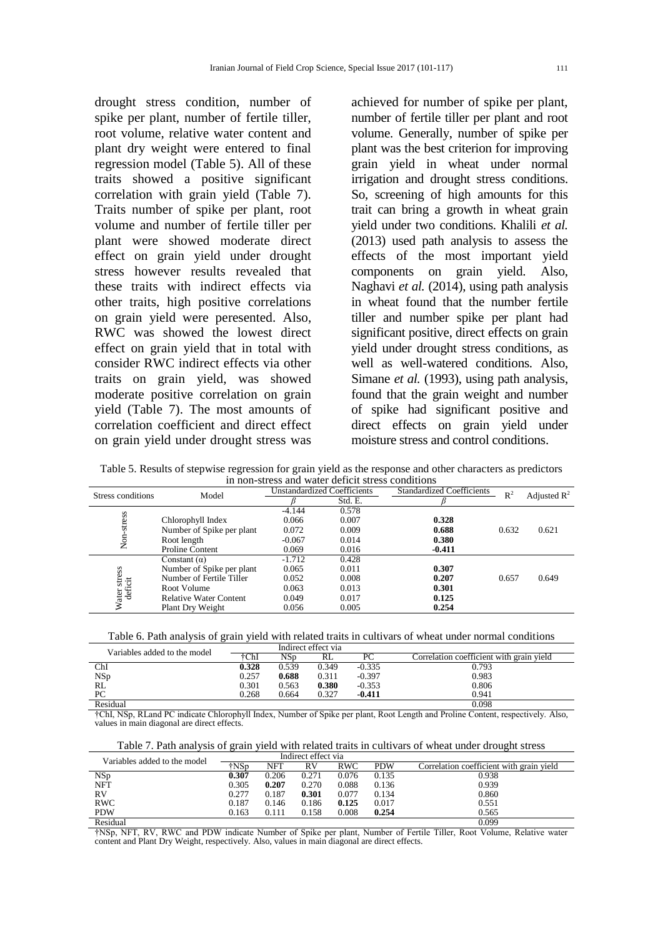drought stress condition, number of spike per plant, number of fertile tiller, root volume, relative water content and plant dry weight were entered to final regression model (Table 5). All of these traits showed a positive significant correlation with grain yield (Table 7). Traits number of spike per plant, root volume and number of fertile tiller per plant were showed moderate direct effect on grain yield under drought stress however results revealed that these traits with indirect effects via other traits, high positive correlations on grain yield were peresented. Also, RWC was showed the lowest direct effect on grain yield that in total with consider RWC indirect effects via other traits on grain yield, was showed moderate positive correlation on grain yield (Table 7). The most amounts of correlation coefficient and direct effect on grain yield under drought stress was

achieved for number of spike per plant, number of fertile tiller per plant and root volume. Generally, number of spike per plant was the best criterion for improving grain yield in wheat under normal irrigation and drought stress conditions. So, screening of high amounts for this trait can bring a growth in wheat grain yield under two conditions. Khalili *et al.* (2013) used path analysis to assess the effects of the most important yield components on grain yield. Also, Naghavi *et al.* (2014), using path analysis in wheat found that the number fertile tiller and number spike per plant had significant positive, direct effects on grain yield under drought stress conditions, as well as well-watered conditions. Also, Simane *et al.* (1993), using path analysis, found that the grain weight and number of spike had significant positive and direct effects on grain yield under moisture stress and control conditions.

Table 5. Results of stepwise regression for grain yield as the response and other characters as predictors in non-stress and water deficit stress conditions

|                       |                               |          | п пон энем ана water аспен энем сонантоны |                                  |       |                         |
|-----------------------|-------------------------------|----------|-------------------------------------------|----------------------------------|-------|-------------------------|
| Stress conditions     | Model                         |          | <b>Unstandardized Coefficients</b>        | <b>Standardized Coefficients</b> | $R^2$ | Adjusted $\mathbb{R}^2$ |
|                       |                               |          | Std. E.                                   |                                  |       |                         |
|                       |                               | $-4.144$ | 0.578                                     |                                  |       |                         |
| stress                | Chlorophyll Index             | 0.066    | 0.007                                     | 0.328                            |       |                         |
|                       | Number of Spike per plant     | 0.072    | 0.009                                     | 0.688                            | 0.632 | 0.621                   |
| $\sum_{i=1}^{n}$      | Root length                   | $-0.067$ | 0.014                                     | 0.380                            |       |                         |
|                       | <b>Proline Content</b>        | 0.069    | 0.016                                     | $-0.411$                         |       |                         |
|                       | Constant $(\alpha)$           | $-1.712$ | 0.428                                     |                                  |       |                         |
|                       | Number of Spike per plant     | 0.065    | 0.011                                     | 0.307                            |       |                         |
| stress                | Number of Fertile Tiller      | 0.052    | 0.008                                     | 0.207                            | 0.657 | 0.649                   |
| Water stre<br>deficit | Root Volume                   | 0.063    | 0.013                                     | 0.301                            |       |                         |
|                       | <b>Relative Water Content</b> | 0.049    | 0.017                                     | 0.125                            |       |                         |
|                       | Plant Dry Weight              | 0.056    | 0.005                                     | 0.254                            |       |                         |

| Table 6. Path analysis of grain yield with related traits in cultivars of wheat under normal conditions |
|---------------------------------------------------------------------------------------------------------|
|---------------------------------------------------------------------------------------------------------|

| Variables added to the model |       |       | Indirect effect via |          |                                          |
|------------------------------|-------|-------|---------------------|----------|------------------------------------------|
|                              | †ChI  | NSp   | RL                  | PС       | Correlation coefficient with grain yield |
| ChI                          | 0.328 | 0.539 | 0.349               | $-0.335$ | 0.793                                    |
| NSp<br>RL                    | 0.257 | 0.688 | 0.311               | $-0.397$ | 0.983                                    |
|                              | 0.301 | 0.563 | 0.380               | $-0.353$ | 0.806                                    |
| PC                           | 0.268 | 0.664 | 0.327               | $-0.411$ | 0.941                                    |
| Residual                     |       |       |                     |          | 0.098                                    |

†ChI, NSp, RLand PC indicate Chlorophyll Index, Number of Spike per plant, Root Length and Proline Content, respectively. Also, values in main diagonal are direct effects.

Table 7. Path analysis of grain yield with related traits in cultivars of wheat under drought stress

| Variables added to the model |       |       | Indirect effect via |            |            |                                          |
|------------------------------|-------|-------|---------------------|------------|------------|------------------------------------------|
|                              | †NSp  | NFT   | RV                  | <b>RWC</b> | <b>PDW</b> | Correlation coefficient with grain vield |
| NSp<br>NFT                   | 0.307 | 0.206 | 0.271               | 0.076      | 0.135      | 0.938                                    |
|                              | 0.305 | 0.207 | 0.270               | 0.088      | 0.136      | 0.939                                    |
| <b>RV</b>                    | 0.277 | 0.187 | 0.301               | 0.077      | 0.134      | 0.860                                    |
| <b>RWC</b>                   | 0.187 | 0.146 | 0.186               | 0.125      | 0.017      | 0.551                                    |
| <b>PDW</b>                   | 0.163 | 0.111 | 0.158               | 0.008      | 0.254      | 0.565                                    |
| Residual                     |       |       |                     |            |            | 0.099                                    |

†NSp, NFT, RV, RWC and PDW indicate Number of Spike per plant, Number of Fertile Tiller, Root Volume, Relative water content and Plant Dry Weight, respectively. Also, values in main diagonal are direct effects.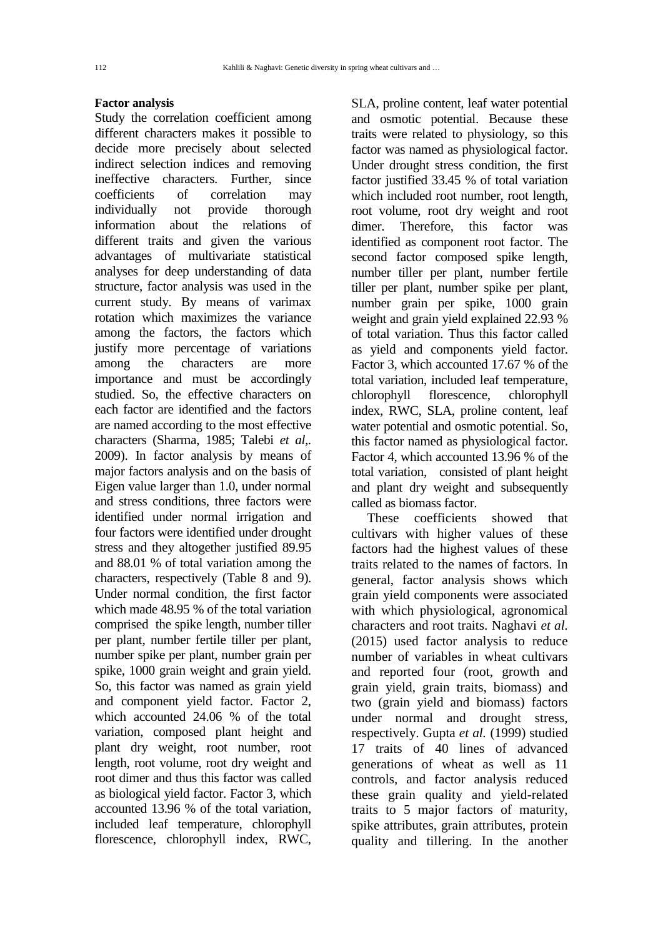### **Factor analysis**

Study the correlation coefficient among different characters makes it possible to decide more precisely about selected indirect selection indices and removing ineffective characters. Further, since coefficients of correlation may individually not provide thorough information about the relations of different traits and given the various advantages of multivariate statistical analyses for deep understanding of data structure, factor analysis was used in the current study. By means of varimax rotation which maximizes the variance among the factors, the factors which justify more percentage of variations among the characters are more importance and must be accordingly studied. So, the effective characters on each factor are identified and the factors are named according to the most effective characters (Sharma, 1985; Talebi *et al,.* 2009). In factor analysis by means of major factors analysis and on the basis of Eigen value larger than 1.0, under normal and stress conditions, three factors were identified under normal irrigation and four factors were identified under drought stress and they altogether justified 89.95 and 88.01 % of total variation among the characters, respectively (Table 8 and 9). Under normal condition, the first factor which made 48.95 % of the total variation comprised the spike length, number tiller per plant, number fertile tiller per plant, number spike per plant, number grain per spike, 1000 grain weight and grain yield. So, this factor was named as grain yield and component yield factor. Factor 2, which accounted 24.06 % of the total variation, composed plant height and plant dry weight, root number, root length, root volume, root dry weight and root dimer and thus this factor was called as biological yield factor. Factor 3, which accounted 13.96 % of the total variation, included leaf temperature, chlorophyll florescence, chlorophyll index, RWC,

SLA, proline content, leaf water potential and osmotic potential. Because these traits were related to physiology, so this factor was named as physiological factor. Under drought stress condition, the first factor justified 33.45 % of total variation which included root number, root length, root volume, root dry weight and root dimer. Therefore, this factor was identified as component root factor. The second factor composed spike length, number tiller per plant, number fertile tiller per plant, number spike per plant, number grain per spike, 1000 grain weight and grain yield explained 22.93 % of total variation. Thus this factor called as yield and components yield factor. Factor 3, which accounted 17.67 % of the total variation, included leaf temperature, chlorophyll florescence, chlorophyll index, RWC, SLA, proline content, leaf water potential and osmotic potential. So, this factor named as physiological factor. Factor 4, which accounted 13.96 % of the total variation, consisted of plant height and plant dry weight and subsequently called as biomass factor.

These coefficients showed that cultivars with higher values of these factors had the highest values of these traits related to the names of factors. In general, factor analysis shows which grain yield components were associated with which physiological, agronomical characters and root traits. Naghavi *et al.* (2015) used factor analysis to reduce number of variables in wheat cultivars and reported four (root, growth and grain yield, grain traits, biomass) and two (grain yield and biomass) factors under normal and drought stress, respectively. Gupta *et al.* (1999) studied 17 traits of 40 lines of advanced generations of wheat as well as 11 controls, and factor analysis reduced these grain quality and yield-related traits to 5 major factors of maturity, spike attributes, grain attributes, protein quality and tillering. In the another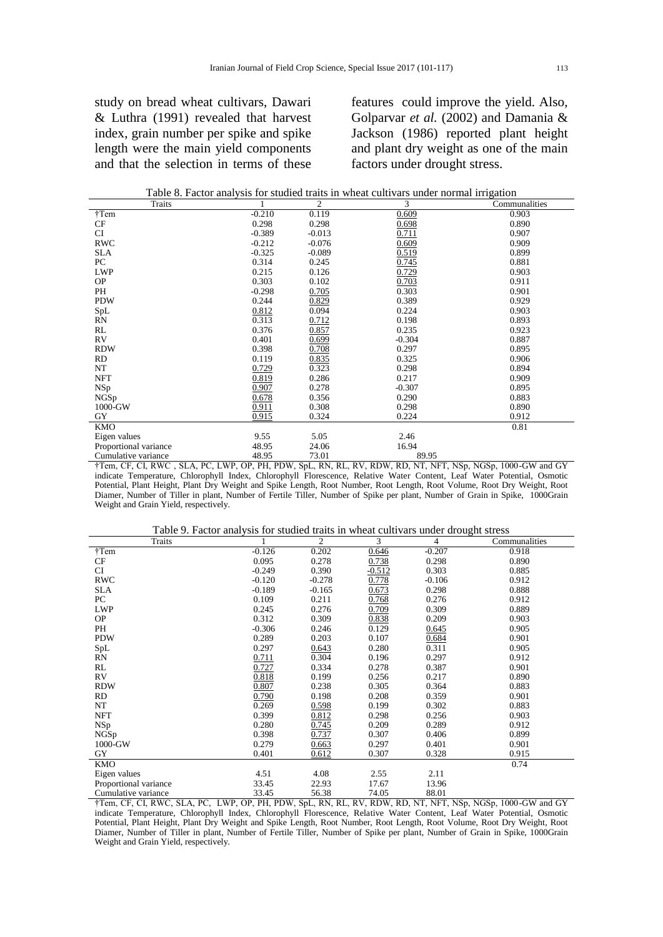study on bread wheat cultivars, Dawari & Luthra (1991) revealed that harvest index, grain number per spike and spike length were the main yield components and that the selection in terms of these

features could improve the yield. Also, Golparvar *et al.* (2002) and Damania & Jackson (1986) reported plant height and plant dry weight as one of the main factors under drought stress.

| Traits                |          | 2        | 3        | Communalities |
|-----------------------|----------|----------|----------|---------------|
| †Tem                  | $-0.210$ | 0.119    | 0.609    | 0.903         |
| CF                    | 0.298    | 0.298    | 0.698    | 0.890         |
| CI                    | $-0.389$ | $-0.013$ | 0.711    | 0.907         |
| <b>RWC</b>            | $-0.212$ | $-0.076$ | 0.609    | 0.909         |
| <b>SLA</b>            | $-0.325$ | $-0.089$ | 0.519    | 0.899         |
| PC                    | 0.314    | 0.245    | 0.745    | 0.881         |
| <b>LWP</b>            | 0.215    | 0.126    | 0.729    | 0.903         |
| <b>OP</b>             | 0.303    | 0.102    | 0.703    | 0.911         |
| PH                    | $-0.298$ | 0.705    | 0.303    | 0.901         |
| <b>PDW</b>            | 0.244    | 0.829    | 0.389    | 0.929         |
| SpL                   | 0.812    | 0.094    | 0.224    | 0.903         |
| RN                    | 0.313    | 0.712    | 0.198    | 0.893         |
| RL                    | 0.376    | 0.857    | 0.235    | 0.923         |
| RV                    | 0.401    | 0.699    | $-0.304$ | 0.887         |
| <b>RDW</b>            | 0.398    | 0.708    | 0.297    | 0.895         |
| <b>RD</b>             | 0.119    | 0.835    | 0.325    | 0.906         |
| NT                    | 0.729    | 0.323    | 0.298    | 0.894         |
| <b>NFT</b>            | 0.819    | 0.286    | 0.217    | 0.909         |
| <b>NSp</b>            | 0.907    | 0.278    | $-0.307$ | 0.895         |
| <b>NGSp</b>           | 0.678    | 0.356    | 0.290    | 0.883         |
| 1000-GW               | 0.911    | 0.308    | 0.298    | 0.890         |
| GY                    | 0.915    | 0.324    | 0.224    | 0.912         |
| <b>KMO</b>            |          |          |          | 0.81          |
| Eigen values          | 9.55     | 5.05     | 2.46     |               |
| Proportional variance | 48.95    | 24.06    | 16.94    |               |
| Cumulative variance   | 48.95    | 73.01    | 89.95    |               |

Table 8. Factor analysis for studied traits in wheat cultivars under normal irrigation

†Tem, CF, CI, RWC , SLA, PC, LWP, OP, PH, PDW, SpL, RN, RL, RV, RDW, RD, NT, NFT, NSp, NGSp, 1000-GW and GY indicate Temperature, Chlorophyll Index, Chlorophyll Florescence, Relative Water Content, Leaf Water Potential, Osmotic Potential, Plant Height, Plant Dry Weight and Spike Length, Root Number, Root Length, Root Volume, Root Dry Weight, Root Diamer, Number of Tiller in plant, Number of Fertile Tiller, Number of Spike per plant, Number of Grain in Spike, 1000Grain Weight and Grain Yield, respectively.

| I dole 9. I detoi andrysis for studied traits in wheat cultivals under drought stress<br>Traits |          | 2        | 3        | 4        | Communalities |
|-------------------------------------------------------------------------------------------------|----------|----------|----------|----------|---------------|
| $\overline{\text{t}}$ Tem                                                                       | $-0.126$ | 0.202    | 0.646    | $-0.207$ | 0.918         |
| CF                                                                                              | 0.095    | 0.278    | 0.738    | 0.298    | 0.890         |
| CI                                                                                              | $-0.249$ | 0.390    | $-0.512$ | 0.303    | 0.885         |
| <b>RWC</b>                                                                                      | $-0.120$ | $-0.278$ | 0.778    | $-0.106$ | 0.912         |
|                                                                                                 |          |          |          |          |               |
| <b>SLA</b>                                                                                      | $-0.189$ | $-0.165$ | 0.673    | 0.298    | 0.888         |
| PC                                                                                              | 0.109    | 0.211    | 0.768    | 0.276    | 0.912         |
| <b>LWP</b>                                                                                      | 0.245    | 0.276    | 0.709    | 0.309    | 0.889         |
| <b>OP</b>                                                                                       | 0.312    | 0.309    | 0.838    | 0.209    | 0.903         |
| PH                                                                                              | $-0.306$ | 0.246    | 0.129    | 0.645    | 0.905         |
| <b>PDW</b>                                                                                      | 0.289    | 0.203    | 0.107    | 0.684    | 0.901         |
| SpL                                                                                             | 0.297    | 0.643    | 0.280    | 0.311    | 0.905         |
| <b>RN</b>                                                                                       | 0.711    | 0.304    | 0.196    | 0.297    | 0.912         |
| RL                                                                                              | 0.727    | 0.334    | 0.278    | 0.387    | 0.901         |
| <b>RV</b>                                                                                       | 0.818    | 0.199    | 0.256    | 0.217    | 0.890         |
| <b>RDW</b>                                                                                      | 0.807    | 0.238    | 0.305    | 0.364    | 0.883         |
| <b>RD</b>                                                                                       | 0.790    | 0.198    | 0.208    | 0.359    | 0.901         |
| NT                                                                                              | 0.269    | 0.598    | 0.199    | 0.302    | 0.883         |
| <b>NFT</b>                                                                                      | 0.399    | 0.812    | 0.298    | 0.256    | 0.903         |
| <b>NSp</b>                                                                                      | 0.280    | 0.745    | 0.209    | 0.289    | 0.912         |
| NGSp                                                                                            | 0.398    | 0.737    | 0.307    | 0.406    | 0.899         |
| 1000-GW                                                                                         | 0.279    | 0.663    | 0.297    | 0.401    | 0.901         |
| GY                                                                                              | 0.401    | 0.612    | 0.307    | 0.328    | 0.915         |
| <b>KMO</b>                                                                                      |          |          |          |          | 0.74          |
| Eigen values                                                                                    | 4.51     | 4.08     | 2.55     | 2.11     |               |
| Proportional variance                                                                           | 33.45    | 22.93    | 17.67    | 13.96    |               |
| Cumulative variance                                                                             | 33.45    | 56.38    | 74.05    | 88.01    |               |

†Tem, CF, CI, RWC, SLA, PC, LWP, OP, PH, PDW, SpL, RN, RL, RV, RDW, RD, NT, NFT, NSp, NGSp, 1000-GW and GY indicate Temperature, Chlorophyll Index, Chlorophyll Florescence, Relative Water Content, Leaf Water Potential, Osmotic Potential, Plant Height, Plant Dry Weight and Spike Length, Root Number, Root Length, Root Volume, Root Dry Weight, Root Diamer, Number of Tiller in plant, Number of Fertile Tiller, Number of Spike per plant, Number of Grain in Spike, 1000Grain Weight and Grain Yield, respectively.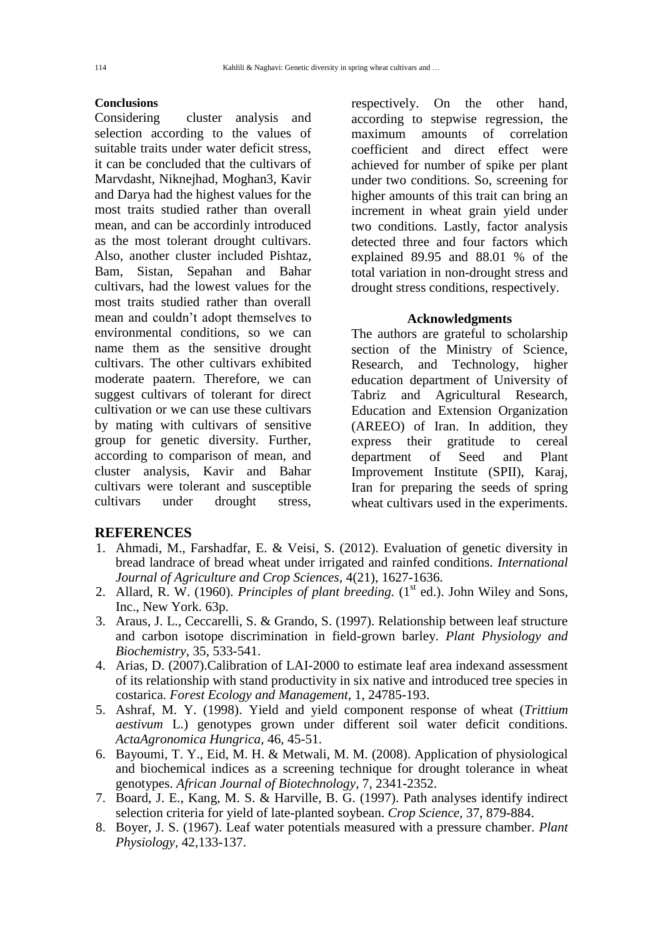## **Conclusions**

Considering cluster analysis and selection according to the values of suitable traits under water deficit stress, it can be concluded that the cultivars of Marvdasht, Niknejhad, Moghan3, Kavir and Darya had the highest values for the most traits studied rather than overall mean, and can be accordinly introduced as the most tolerant drought cultivars. Also, another cluster included Pishtaz, Bam, Sistan, Sepahan and Bahar cultivars, had the lowest values for the most traits studied rather than overall mean and couldn't adopt themselves to environmental conditions, so we can name them as the sensitive drought cultivars. The other cultivars exhibited moderate paatern. Therefore, we can suggest cultivars of tolerant for direct cultivation or we can use these cultivars by mating with cultivars of sensitive group for genetic diversity. Further, according to comparison of mean, and cluster analysis, Kavir and Bahar cultivars were tolerant and susceptible cultivars under drought stress,

respectively. On the other hand, according to stepwise regression, the maximum amounts of correlation coefficient and direct effect were achieved for number of spike per plant under two conditions. So, screening for higher amounts of this trait can bring an increment in wheat grain yield under two conditions. Lastly, factor analysis detected three and four factors which explained 89.95 and 88.01 % of the total variation in non-drought stress and drought stress conditions, respectively.

## **Acknowledgments**

The authors are grateful to scholarship section of the Ministry of Science, Research, and Technology, higher education department of University of Tabriz and Agricultural Research, Education and Extension Organization (AREEO) of Iran. In addition, they express their gratitude to cereal department of Seed and Plant Improvement Institute (SPII), Karaj, Iran for preparing the seeds of spring wheat cultivars used in the experiments.

## **REFERENCES**

- 1. Ahmadi, M., Farshadfar, E. & Veisi, S. (2012). Evaluation of genetic diversity in bread landrace of bread wheat under irrigated and rainfed conditions. *International Journal of Agriculture and Crop Sciences*, 4(21), 1627-1636.
- 2. Allard, R. W. (1960). *Principles of plant breeding*. (1<sup>st</sup> ed.). John Wiley and Sons, Inc., New York. 63p.
- 3. Araus, J. L., Ceccarelli, S. & Grando, S. (1997). Relationship between leaf structure and carbon isotope discrimination in field-grown barley. *Plant Physiology and Biochemistry,* 35, 533-541.
- 4. Arias, D. (2007).Calibration of LAI-2000 to estimate leaf area indexand assessment of its relationship with stand productivity in six native and introduced tree species in costarica. *Forest Ecology and Management,* 1, 24785-193.
- 5. Ashraf, M. Y. (1998). Yield and yield component response of wheat (*Trittium aestivum* L.) genotypes grown under different soil water deficit conditions. *ActaAgronomica Hungrica,* 46, 45-51.
- 6. Bayoumi, T. Y., Eid, M. H. & Metwali, M. M. (2008). Application of physiological and biochemical indices as a screening technique for drought tolerance in wheat genotypes. *African Journal of Biotechnology,* 7, 2341-2352.
- 7. Board, J. E., Kang, M. S. & Harville, B. G. (1997). Path analyses identify indirect selection criteria for yield of late-planted soybean. *Crop Science,* 37, 879-884.
- 8. Boyer, J. S. (1967). Leaf water potentials measured with a pressure chamber. *Plant Physiology,* 42,133-137.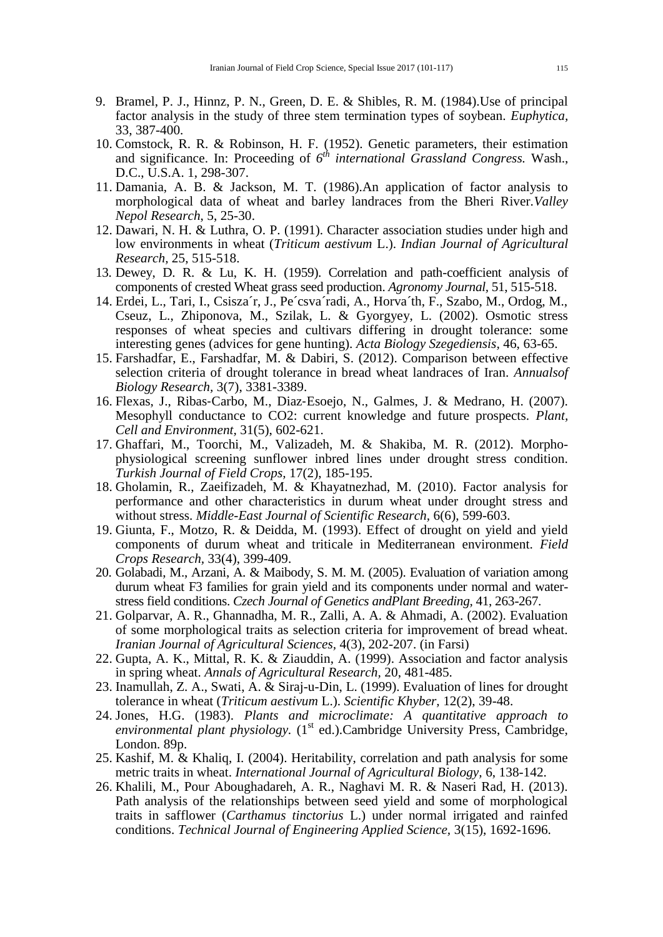- 9. Bramel, P. J., Hinnz, P. N., Green, D. E. & Shibles, R. M. (1984).Use of principal factor analysis in the study of three stem termination types of soybean. *Euphytica,* 33, 387-400.
- 10. Comstock, R. R. & Robinson, H. F. (1952). Genetic parameters, their estimation and significance. In: Proceeding of  $6<sup>th</sup>$  *international Grassland Congress.* Wash., D.C., U.S.A. 1, 298-307.
- 11. Damania, A. B. & Jackson, M. T. (1986).An application of factor analysis to morphological data of wheat and barley landraces from the Bheri River.*Valley Nepol Research*, 5, 25-30.
- 12. Dawari, N. H. & Luthra, O. P. (1991). Character association studies under high and low environments in wheat (*Triticum aestivum* L.). *Indian Journal of Agricultural Research,* 25, 515-518.
- 13. Dewey, D. R. & Lu, K. H. (1959). Correlation and path-coefficient analysis of components of crested Wheat grass seed production. *Agronomy Journal,* 51, 515-518.
- 14. Erdei, L., Tari, I., Csisza´r, J., Pe´csva´radi, A., Horva´th, F., Szabo, M., Ordog, M., Cseuz, L., Zhiponova, M., Szilak, L. & Gyorgyey, L. (2002). Osmotic stress responses of wheat species and cultivars differing in drought tolerance: some interesting genes (advices for gene hunting). *Acta Biology Szegediensis,* 46, 63-65.
- 15. Farshadfar, E., Farshadfar, M. & Dabiri, S. (2012). Comparison between effective selection criteria of drought tolerance in bread wheat landraces of Iran. *Annualsof Biology Research,* 3(7), 3381-3389.
- 16. Flexas, J., Ribas‐Carbo, M., Diaz‐Esoejo, N., Galmes, J. & Medrano, H. (2007). Mesophyll conductance to CO2: current knowledge and future prospects. *Plant, Cell and Environment,* 31(5), 602-621.
- 17. Ghaffari, M., Toorchi, M., Valizadeh, M. & Shakiba, M. R. (2012). Morphophysiological screening sunflower inbred lines under drought stress condition. *Turkish Journal of Field Crops,* 17(2), 185-195.
- 18. Gholamin, R., Zaeifizadeh, M. & Khayatnezhad, M. (2010). Factor analysis for performance and other characteristics in durum wheat under drought stress and without stress. *Middle-East Journal of Scientific Research,* 6(6), 599-603.
- 19. Giunta, F., Motzo, R. & Deidda, M. (1993). Effect of drought on yield and yield components of durum wheat and triticale in Mediterranean environment. *Field Crops Research,* 33(4), 399-409.
- 20. Golabadi, M., Arzani, A. & Maibody, S. M. M. (2005). Evaluation of variation among durum wheat F3 families for grain yield and its components under normal and waterstress field conditions. *Czech Journal of Genetics andPlant Breeding,* 41, 263-267.
- 21. Golparvar, A. R., Ghannadha, M. R., Zalli, A. A. & Ahmadi, A. (2002). Evaluation of some morphological traits as selection criteria for improvement of bread wheat. *Iranian Journal of Agricultural Sciences,* 4(3), 202-207. (in Farsi)
- 22. Gupta, A. K., Mittal, R. K. & Ziauddin, A. (1999). Association and factor analysis in spring wheat. *Annals of Agricultural Research,* 20, 481-485.
- 23. Inamullah, Z. A., Swati, A. & Siraj-u-Din, L. (1999). Evaluation of lines for drought tolerance in wheat (*Triticum aestivum* L.). *Scientific Khyber,* 12(2), 39-48.
- 24. Jones, H.G. (1983). *Plants and microclimate: A quantitative approach to*  environmental plant physiology. (1<sup>st</sup> ed.).Cambridge University Press, Cambridge, London. 89p.
- 25. Kashif, M. & Khaliq, I. (2004). Heritability, correlation and path analysis for some metric traits in wheat. *International Journal of Agricultural Biology,* 6, 138-142.
- 26. Khalili, M., Pour Aboughadareh, A. R., Naghavi M. R. & Naseri Rad, H. (2013). Path analysis of the relationships between seed yield and some of morphological traits in safflower (*Carthamus tinctorius* L.) under normal irrigated and rainfed conditions. *Technical Journal of Engineering Applied Science,* 3(15), 1692-1696.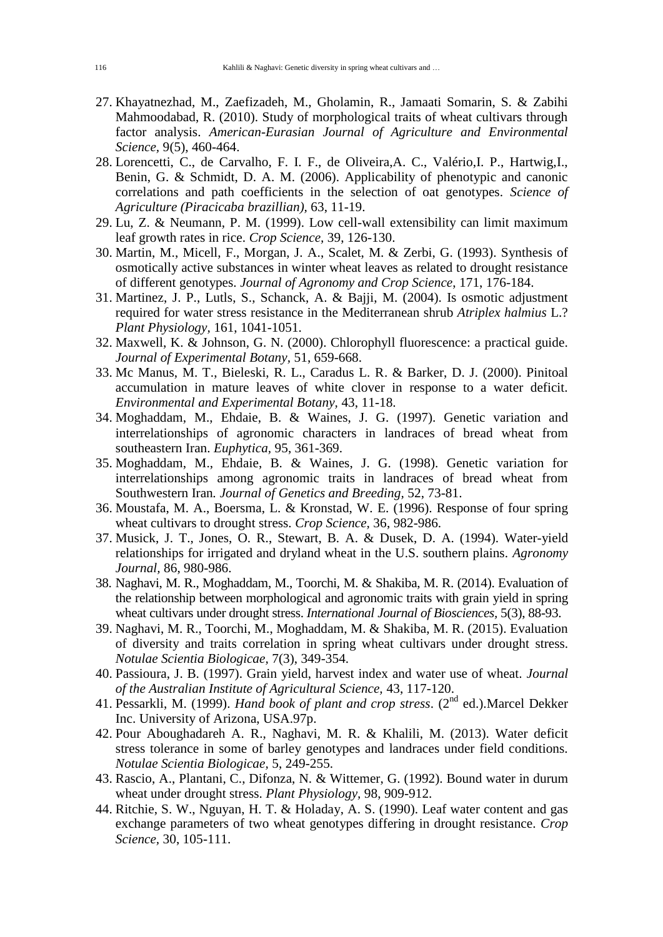- 27. Khayatnezhad, M., Zaefizadeh, M., Gholamin, R., Jamaati Somarin, S. & Zabihi Mahmoodabad, R. (2010). Study of morphological traits of wheat cultivars through factor analysis. *American-Eurasian Journal of Agriculture and Environmental Science,* 9(5), 460-464.
- 28. Lorencetti, C., de Carvalho, F. I. F., de Oliveira,A. C., Valério,I. P., Hartwig,I., Benin, G. & Schmidt, D. A. M. (2006). Applicability of phenotypic and canonic correlations and path coefficients in the selection of oat genotypes. *Science of Agriculture (Piracicaba brazillian),* 63, 11-19.
- 29. Lu, Z. & Neumann, P. M. (1999). Low cell-wall extensibility can limit maximum leaf growth rates in rice. *Crop Science,* 39, 126-130.
- 30. Martin, M., Micell, F., Morgan, J. A., Scalet, M. & Zerbi, G. (1993). Synthesis of osmotically active substances in winter wheat leaves as related to drought resistance of different genotypes. *Journal of Agronomy and Crop Science*, 171, 176-184.
- 31. Martinez, J. P., Lutls, S., Schanck, A. & Bajji, M. (2004). Is osmotic adjustment required for water stress resistance in the Mediterranean shrub *Atriplex halmius* L.? *Plant Physiology,* 161, 1041-1051.
- 32. Maxwell, K. & Johnson, G. N. (2000). Chlorophyll fluorescence: a practical guide. *Journal of Experimental Botany,* 51, 659-668.
- 33. Mc Manus, M. T., Bieleski, R. L., Caradus L. R. & Barker, D. J. (2000). Pinitoal accumulation in mature leaves of white clover in response to a water deficit. *Environmental and Experimental Botany,* 43, 11-18.
- 34. Moghaddam, M., Ehdaie, B. & Waines, J. G. (1997). Genetic variation and interrelationships of agronomic characters in landraces of bread wheat from southeastern Iran. *Euphytica,* 95, 361-369.
- 35. Moghaddam, M., Ehdaie, B. & Waines, J. G. (1998). Genetic variation for interrelationships among agronomic traits in landraces of bread wheat from Southwestern Iran*. Journal of Genetics and Breeding,* 52, 73-81.
- 36. Moustafa, M. A., Boersma, L. & Kronstad, W. E. (1996). Response of four spring wheat cultivars to drought stress. *Crop Science,* 36, 982-986.
- 37. Musick, J. T., Jones, O. R., Stewart, B. A. & Dusek, D. A. (1994). Water-yield relationships for irrigated and dryland wheat in the U.S. southern plains. *Agronomy Journal,* 86, 980-986.
- 38. Naghavi, M. R., Moghaddam, M., Toorchi, M. & Shakiba, M. R. (2014). Evaluation of the relationship between morphological and agronomic traits with grain yield in spring wheat cultivars under drought stress. *International Journal of Biosciences,* 5(3), 88-93.
- 39. Naghavi, M. R., Toorchi, M., Moghaddam, M. & Shakiba, M. R. (2015). Evaluation of diversity and traits correlation in spring wheat cultivars under drought stress. *Notulae Scientia Biologicae,* 7(3), 349-354.
- 40. Passioura, J. B. (1997). Grain yield, harvest index and water use of wheat. *Journal of the Australian Institute of Agricultural Science,* 43, 117-120.
- 41. Pessarkli, M. (1999). *Hand book of plant and crop stress*. (2nd ed.).Marcel Dekker Inc. University of Arizona, USA.97p.
- 42. Pour Aboughadareh A. R., Naghavi, M. R. & Khalili, M. (2013). Water deficit stress tolerance in some of barley genotypes and landraces under field conditions. *Notulae Scientia Biologicae,* 5, 249-255.
- 43. Rascio, A., Plantani, C., Difonza, N. & Wittemer, G. (1992). Bound water in durum wheat under drought stress. *Plant Physiology,* 98, 909-912.
- 44. Ritchie, S. W., Nguyan, H. T. & Holaday, A. S. (1990). Leaf water content and gas exchange parameters of two wheat genotypes differing in drought resistance. *Crop Science,* 30, 105-111.